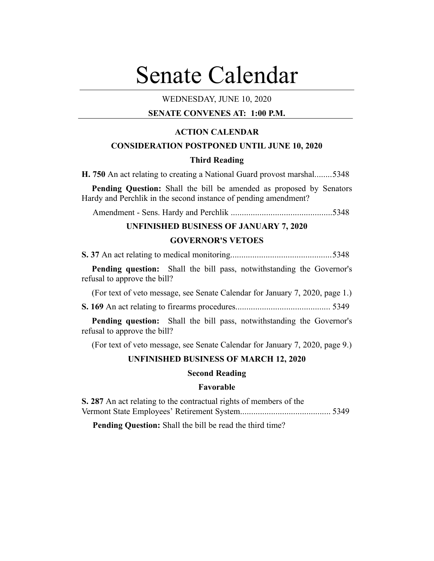# Senate Calendar

## WEDNESDAY, JUNE 10, 2020

## **SENATE CONVENES AT: 1:00 P.M.**

## **ACTION CALENDAR**

## **CONSIDERATION POSTPONED UNTIL JUNE 10, 2020**

## **Third Reading**

**H. 750** An act relating to creating a National Guard provost marshal........5348

**Pending Question:** Shall the bill be amended as proposed by Senators Hardy and Perchlik in the second instance of pending amendment?

Amendment - Sens. Hardy and Perchlik ..............................................5348

#### **UNFINISHED BUSINESS OF JANUARY 7, 2020**

#### **GOVERNOR'S VETOES**

**S. 37** An act relating to medical monitoring..............................................5348

**Pending question:** Shall the bill pass, notwithstanding the Governor's refusal to approve the bill?

(For text of veto message, see Senate Calendar for January 7, 2020, page 1.)

**S. 169** An act relating to firearms procedures........................................... 5349

**Pending question:** Shall the bill pass, notwithstanding the Governor's refusal to approve the bill?

(For text of veto message, see Senate Calendar for January 7, 2020, page 9.)

#### **UNFINISHED BUSINESS OF MARCH 12, 2020**

#### **Second Reading**

## **Favorable**

**S. 287** An act relating to the contractual rights of members of the Vermont State Employees' Retirement System......................................... 5349

**Pending Question:** Shall the bill be read the third time?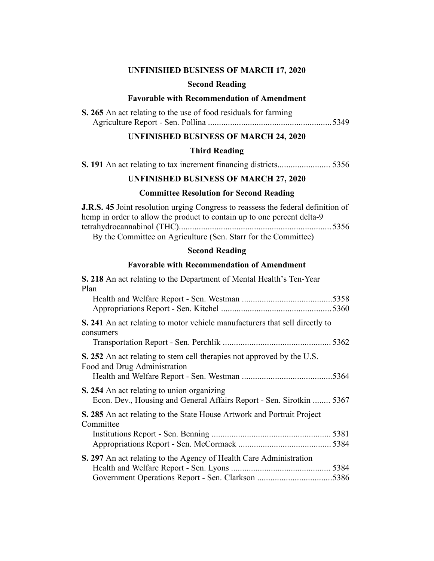## **UNFINISHED BUSINESS OF MARCH 17, 2020**

#### **Second Reading**

## **Favorable with Recommendation of Amendment**

| S. 265 An act relating to the use of food residuals for farming |  |
|-----------------------------------------------------------------|--|
|                                                                 |  |

## **UNFINISHED BUSINESS OF MARCH 24, 2020**

## **Third Reading**

**S. 191** An act relating to tax increment financing districts........................ 5356

## **UNFINISHED BUSINESS OF MARCH 27, 2020**

## **Committee Resolution for Second Reading**

| <b>J.R.S. 45</b> Joint resolution urging Congress to reassess the federal definition of |  |
|-----------------------------------------------------------------------------------------|--|
| hemp in order to allow the product to contain up to one percent delta-9                 |  |
|                                                                                         |  |
| By the Committee on Agriculture (Sen Starr for the Committee)                           |  |

By the Committee on Agriculture (Sen. Starr for the Committee)

## **Second Reading**

## **Favorable with Recommendation of Amendment**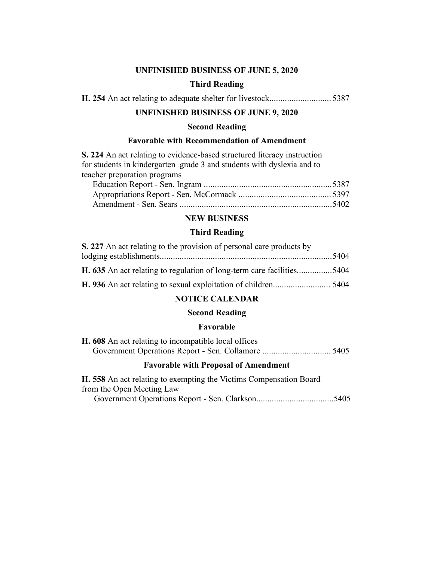## **UNFINISHED BUSINESS OF JUNE 5, 2020**

## **Third Reading**

|--|--|--|--|--|--|--|--|--|

## **UNFINISHED BUSINESS OF JUNE 9, 2020**

## **Second Reading**

## **Favorable with Recommendation of Amendment**

**S. 224** An act relating to evidence-based structured literacy instruction for students in kindergarten–grade 3 and students with dyslexia and to teacher preparation programs

## **NEW BUSINESS**

#### **Third Reading**

| S. 227 An act relating to the provision of personal care products by         |  |
|------------------------------------------------------------------------------|--|
|                                                                              |  |
| <b>H. 635</b> An act relating to regulation of long-term care facilities5404 |  |
|                                                                              |  |

## **NOTICE CALENDAR**

#### **Second Reading**

## **Favorable**

|  |  | H. 608 An act relating to incompatible local offices |  |  |
|--|--|------------------------------------------------------|--|--|
|  |  |                                                      |  |  |

#### **Favorable with Proposal of Amendment**

**H. 558** An act relating to exempting the Victims Compensation Board from the Open Meeting Law Government Operations Report - Sen. Clarkson...................................5405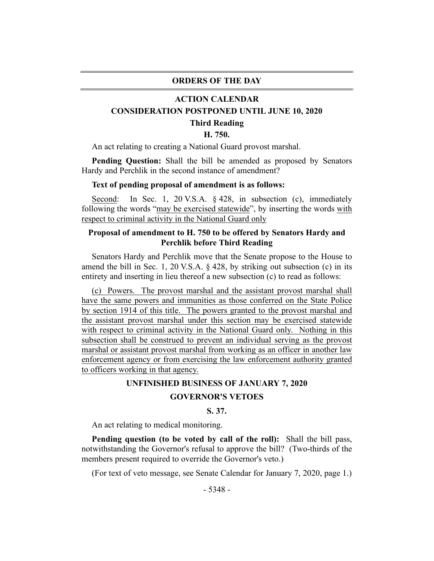#### **ORDERS OF THE DAY**

#### **ACTION CALENDAR**

#### **CONSIDERATION POSTPONED UNTIL JUNE 10, 2020**

#### **Third Reading**

#### **H. 750.**

An act relating to creating a National Guard provost marshal.

**Pending Question:** Shall the bill be amended as proposed by Senators Hardy and Perchlik in the second instance of amendment?

#### **Text of pending proposal of amendment is as follows:**

Second: In Sec. 1, 20 V.S.A. § 428, in subsection (c), immediately following the words "may be exercised statewide", by inserting the words with respect to criminal activity in the National Guard only

## **Proposal of amendment to H. 750 to be offered by Senators Hardy and Perchlik before Third Reading**

Senators Hardy and Perchlik move that the Senate propose to the House to amend the bill in Sec. 1, 20 V.S.A. § 428, by striking out subsection (c) in its entirety and inserting in lieu thereof a new subsection (c) to read as follows:

(c) Powers. The provost marshal and the assistant provost marshal shall have the same powers and immunities as those conferred on the State Police by section 1914 of this title. The powers granted to the provost marshal and the assistant provost marshal under this section may be exercised statewide with respect to criminal activity in the National Guard only. Nothing in this subsection shall be construed to prevent an individual serving as the provost marshal or assistant provost marshal from working as an officer in another law enforcement agency or from exercising the law enforcement authority granted to officers working in that agency.

## **UNFINISHED BUSINESS OF JANUARY 7, 2020**

## **GOVERNOR'S VETOES**

## **S. 37.**

An act relating to medical monitoring.

**Pending question (to be voted by call of the roll):** Shall the bill pass, notwithstanding the Governor's refusal to approve the bill? (Two-thirds of the members present required to override the Governor's veto.)

(For text of veto message, see Senate Calendar for January 7, 2020, page 1.)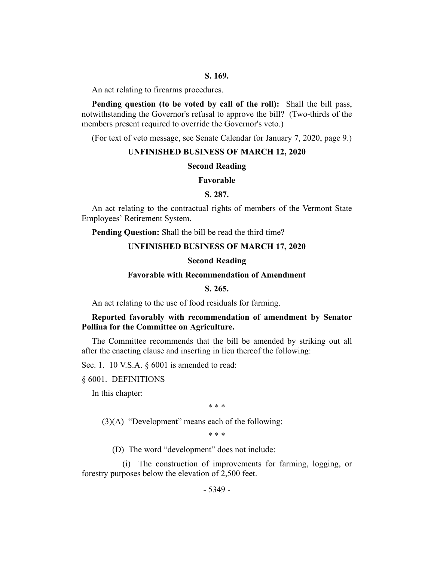#### **S. 169.**

An act relating to firearms procedures.

**Pending question (to be voted by call of the roll):** Shall the bill pass, notwithstanding the Governor's refusal to approve the bill? (Two-thirds of the members present required to override the Governor's veto.)

(For text of veto message, see Senate Calendar for January 7, 2020, page 9.)

#### **UNFINISHED BUSINESS OF MARCH 12, 2020**

#### **Second Reading**

#### **Favorable**

## **S. 287.**

An act relating to the contractual rights of members of the Vermont State Employees' Retirement System.

**Pending Question:** Shall the bill be read the third time?

#### **UNFINISHED BUSINESS OF MARCH 17, 2020**

#### **Second Reading**

#### **Favorable with Recommendation of Amendment**

### **S. 265.**

An act relating to the use of food residuals for farming.

## **Reported favorably with recommendation of amendment by Senator Pollina for the Committee on Agriculture.**

The Committee recommends that the bill be amended by striking out all after the enacting clause and inserting in lieu thereof the following:

Sec. 1. 10 V.S.A. § 6001 is amended to read:

§ 6001. DEFINITIONS

In this chapter:

\* \* \*

 $(3)(A)$  "Development" means each of the following:

\* \* \*

(D) The word "development" does not include:

(i) The construction of improvements for farming, logging, or forestry purposes below the elevation of 2,500 feet.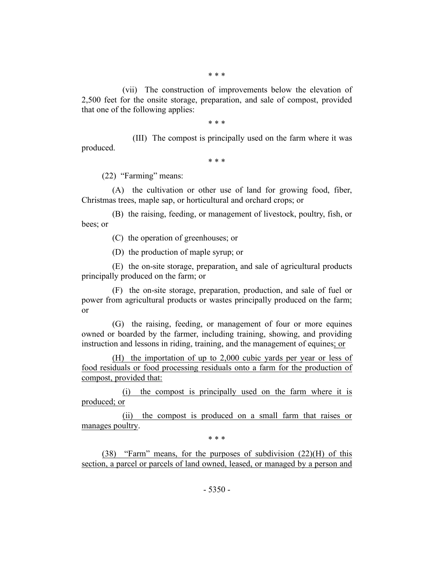(vii) The construction of improvements below the elevation of 2,500 feet for the onsite storage, preparation, and sale of compost, provided that one of the following applies:

\* \* \*

(III) The compost is principally used on the farm where it was produced.

\* \* \*

(22) "Farming" means:

(A) the cultivation or other use of land for growing food, fiber, Christmas trees, maple sap, or horticultural and orchard crops; or

(B) the raising, feeding, or management of livestock, poultry, fish, or bees; or

(C) the operation of greenhouses; or

(D) the production of maple syrup; or

(E) the on-site storage, preparation, and sale of agricultural products principally produced on the farm; or

(F) the on-site storage, preparation, production, and sale of fuel or power from agricultural products or wastes principally produced on the farm; or

(G) the raising, feeding, or management of four or more equines owned or boarded by the farmer, including training, showing, and providing instruction and lessons in riding, training, and the management of equines; or

(H) the importation of up to 2,000 cubic yards per year or less of food residuals or food processing residuals onto a farm for the production of compost, provided that:

(i) the compost is principally used on the farm where it is produced; or

(ii) the compost is produced on a small farm that raises or manages poultry.

\* \* \*

(38) "Farm" means, for the purposes of subdivision (22)(H) of this section, a parcel or parcels of land owned, leased, or managed by a person and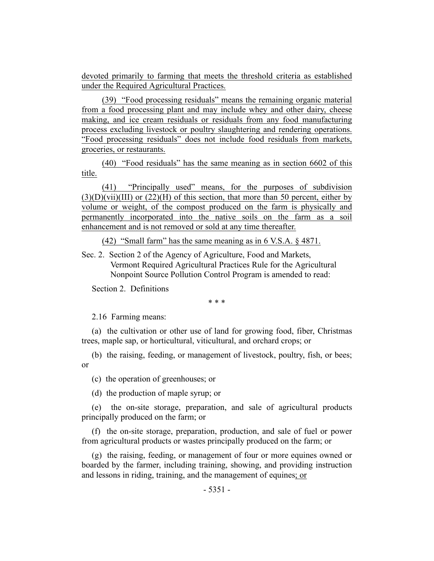devoted primarily to farming that meets the threshold criteria as established under the Required Agricultural Practices.

(39) "Food processing residuals" means the remaining organic material from a food processing plant and may include whey and other dairy, cheese making, and ice cream residuals or residuals from any food manufacturing process excluding livestock or poultry slaughtering and rendering operations. "Food processing residuals" does not include food residuals from markets, groceries, or restaurants.

(40) "Food residuals" has the same meaning as in section 6602 of this title.

(41) "Principally used" means, for the purposes of subdivision  $(3)(D)(Vii)(III)$  or  $(22)(H)$  of this section, that more than 50 percent, either by volume or weight, of the compost produced on the farm is physically and permanently incorporated into the native soils on the farm as a soil enhancement and is not removed or sold at any time thereafter.

(42) "Small farm" has the same meaning as in 6 V.S.A. § 4871.

Sec. 2. Section 2 of the Agency of Agriculture, Food and Markets, Vermont Required Agricultural Practices Rule for the Agricultural Nonpoint Source Pollution Control Program is amended to read:

Section 2. Definitions

\* \* \*

2.16 Farming means:

(a) the cultivation or other use of land for growing food, fiber, Christmas trees, maple sap, or horticultural, viticultural, and orchard crops; or

(b) the raising, feeding, or management of livestock, poultry, fish, or bees; or

(c) the operation of greenhouses; or

(d) the production of maple syrup; or

(e) the on-site storage, preparation, and sale of agricultural products principally produced on the farm; or

(f) the on-site storage, preparation, production, and sale of fuel or power from agricultural products or wastes principally produced on the farm; or

(g) the raising, feeding, or management of four or more equines owned or boarded by the farmer, including training, showing, and providing instruction and lessons in riding, training, and the management of equines; or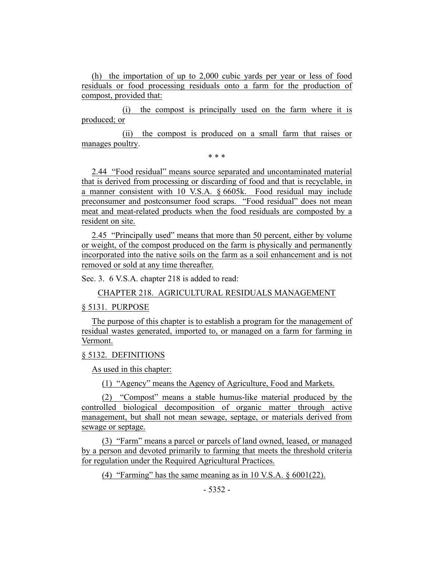(h) the importation of up to 2,000 cubic yards per year or less of food residuals or food processing residuals onto a farm for the production of compost, provided that:

(i) the compost is principally used on the farm where it is produced; or

(ii) the compost is produced on a small farm that raises or manages poultry.

\* \* \*

2.44 "Food residual" means source separated and uncontaminated material that is derived from processing or discarding of food and that is recyclable, in a manner consistent with 10 V.S.A. § 6605k. Food residual may include preconsumer and postconsumer food scraps. "Food residual" does not mean meat and meat-related products when the food residuals are composted by a resident on site.

2.45 "Principally used" means that more than 50 percent, either by volume or weight, of the compost produced on the farm is physically and permanently incorporated into the native soils on the farm as a soil enhancement and is not removed or sold at any time thereafter.

Sec. 3. 6 V.S.A. chapter 218 is added to read:

CHAPTER 218. AGRICULTURAL RESIDUALS MANAGEMENT

#### § 5131. PURPOSE

The purpose of this chapter is to establish a program for the management of residual wastes generated, imported to, or managed on a farm for farming in Vermont.

#### § 5132. DEFINITIONS

As used in this chapter:

(1) "Agency" means the Agency of Agriculture, Food and Markets.

(2) "Compost" means a stable humus-like material produced by the controlled biological decomposition of organic matter through active management, but shall not mean sewage, septage, or materials derived from sewage or septage.

(3) "Farm" means a parcel or parcels of land owned, leased, or managed by a person and devoted primarily to farming that meets the threshold criteria for regulation under the Required Agricultural Practices.

(4) "Farming" has the same meaning as in 10 V.S.A.  $\S 6001(22)$ .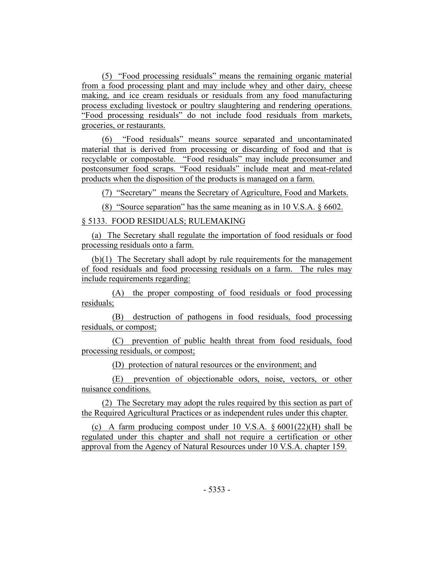(5) "Food processing residuals" means the remaining organic material from a food processing plant and may include whey and other dairy, cheese making, and ice cream residuals or residuals from any food manufacturing process excluding livestock or poultry slaughtering and rendering operations. "Food processing residuals" do not include food residuals from markets, groceries, or restaurants.

(6) "Food residuals" means source separated and uncontaminated material that is derived from processing or discarding of food and that is recyclable or compostable. "Food residuals" may include preconsumer and postconsumer food scraps. "Food residuals" include meat and meat-related products when the disposition of the products is managed on a farm.

(7) "Secretary" means the Secretary of Agriculture, Food and Markets.

(8) "Source separation" has the same meaning as in 10 V.S.A. § 6602.

#### § 5133. FOOD RESIDUALS; RULEMAKING

(a) The Secretary shall regulate the importation of food residuals or food processing residuals onto a farm.

(b)(1) The Secretary shall adopt by rule requirements for the management of food residuals and food processing residuals on a farm. The rules may include requirements regarding:

(A) the proper composting of food residuals or food processing residuals;

(B) destruction of pathogens in food residuals, food processing residuals, or compost;

(C) prevention of public health threat from food residuals, food processing residuals, or compost;

(D) protection of natural resources or the environment; and

(E) prevention of objectionable odors, noise, vectors, or other nuisance conditions.

(2) The Secretary may adopt the rules required by this section as part of the Required Agricultural Practices or as independent rules under this chapter.

(c) A farm producing compost under 10 V.S.A.  $\S 6001(22)(H)$  shall be regulated under this chapter and shall not require a certification or other approval from the Agency of Natural Resources under 10 V.S.A. chapter 159.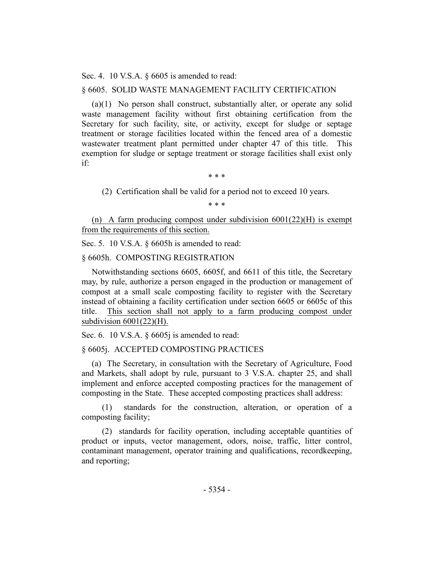Sec. 4. 10 V.S.A. § 6605 is amended to read:

#### § 6605. SOLID WASTE MANAGEMENT FACILITY CERTIFICATION

(a)(1) No person shall construct, substantially alter, or operate any solid waste management facility without first obtaining certification from the Secretary for such facility, site, or activity, except for sludge or septage treatment or storage facilities located within the fenced area of a domestic wastewater treatment plant permitted under chapter 47 of this title. This exemption for sludge or septage treatment or storage facilities shall exist only if:

\* \* \*

(2) Certification shall be valid for a period not to exceed 10 years.

\* \* \*

(n) A farm producing compost under subdivision 6001(22)(H) is exempt from the requirements of this section.

Sec. 5. 10 V.S.A. § 6605h is amended to read:

§ 6605h. COMPOSTING REGISTRATION

Notwithstanding sections 6605, 6605f, and 6611 of this title, the Secretary may, by rule, authorize a person engaged in the production or management of compost at a small scale composting facility to register with the Secretary instead of obtaining a facility certification under section 6605 or 6605c of this title. This section shall not apply to a farm producing compost under subdivision  $6001(22)$ (H).

Sec. 6. 10 V.S.A. § 6605*j* is amended to read:

#### § 6605j. ACCEPTED COMPOSTING PRACTICES

(a) The Secretary, in consultation with the Secretary of Agriculture, Food and Markets, shall adopt by rule, pursuant to 3 V.S.A. chapter 25, and shall implement and enforce accepted composting practices for the management of composting in the State. These accepted composting practices shall address:

(1) standards for the construction, alteration, or operation of a composting facility;

(2) standards for facility operation, including acceptable quantities of product or inputs, vector management, odors, noise, traffic, litter control, contaminant management, operator training and qualifications, recordkeeping, and reporting;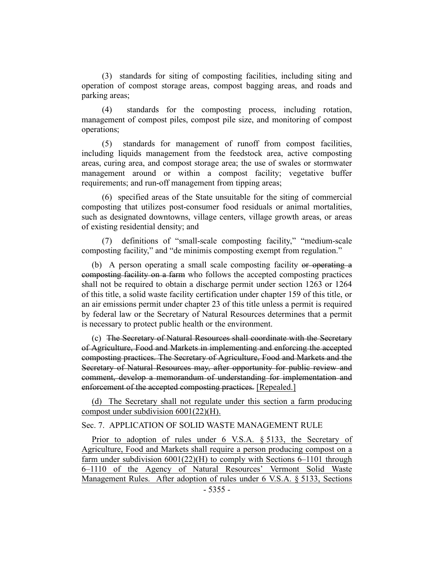(3) standards for siting of composting facilities, including siting and operation of compost storage areas, compost bagging areas, and roads and parking areas;

(4) standards for the composting process, including rotation, management of compost piles, compost pile size, and monitoring of compost operations;

(5) standards for management of runoff from compost facilities, including liquids management from the feedstock area, active composting areas, curing area, and compost storage area; the use of swales or stormwater management around or within a compost facility; vegetative buffer requirements; and run-off management from tipping areas;

(6) specified areas of the State unsuitable for the siting of commercial composting that utilizes post-consumer food residuals or animal mortalities, such as designated downtowns, village centers, village growth areas, or areas of existing residential density; and

(7) definitions of "small-scale composting facility," "medium-scale composting facility," and "de minimis composting exempt from regulation."

(b) A person operating a small scale composting facility or operating a composting facility on a farm who follows the accepted composting practices shall not be required to obtain a discharge permit under section 1263 or 1264 of this title, a solid waste facility certification under chapter 159 of this title, or an air emissions permit under chapter 23 of this title unless a permit is required by federal law or the Secretary of Natural Resources determines that a permit is necessary to protect public health or the environment.

(c) The Secretary of Natural Resources shall coordinate with the Secretary of Agriculture, Food and Markets in implementing and enforcing the accepted composting practices. The Secretary of Agriculture, Food and Markets and the Secretary of Natural Resources may, after opportunity for public review and comment, develop a memorandum of understanding for implementation and enforcement of the accepted composting practices. [Repealed.]

(d) The Secretary shall not regulate under this section a farm producing compost under subdivision 6001(22)(H).

## Sec. 7. APPLICATION OF SOLID WASTE MANAGEMENT RULE

Prior to adoption of rules under 6 V.S.A. § 5133, the Secretary of Agriculture, Food and Markets shall require a person producing compost on a farm under subdivision  $6001(22)(H)$  to comply with Sections 6–1101 through 6–1110 of the Agency of Natural Resources' Vermont Solid Waste Management Rules. After adoption of rules under 6 V.S.A. § 5133, Sections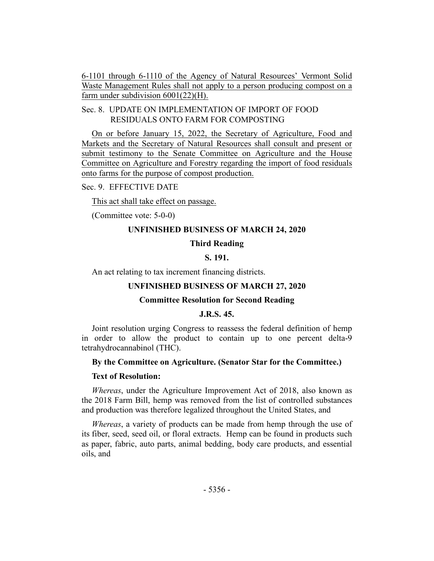6-1101 through 6-1110 of the Agency of Natural Resources' Vermont Solid Waste Management Rules shall not apply to a person producing compost on a farm under subdivision 6001(22)(H).

## Sec. 8. UPDATE ON IMPLEMENTATION OF IMPORT OF FOOD RESIDUALS ONTO FARM FOR COMPOSTING

On or before January 15, 2022, the Secretary of Agriculture, Food and Markets and the Secretary of Natural Resources shall consult and present or submit testimony to the Senate Committee on Agriculture and the House Committee on Agriculture and Forestry regarding the import of food residuals onto farms for the purpose of compost production.

Sec. 9. EFFECTIVE DATE

This act shall take effect on passage.

(Committee vote: 5-0-0)

#### **UNFINISHED BUSINESS OF MARCH 24, 2020**

#### **Third Reading**

## **S. 191.**

An act relating to tax increment financing districts.

#### **UNFINISHED BUSINESS OF MARCH 27, 2020**

#### **Committee Resolution for Second Reading**

#### **J.R.S. 45.**

Joint resolution urging Congress to reassess the federal definition of hemp in order to allow the product to contain up to one percent delta-9 tetrahydrocannabinol (THC).

#### **By the Committee on Agriculture. (Senator Star for the Committee.)**

#### **Text of Resolution:**

*Whereas*, under the Agriculture Improvement Act of 2018, also known as the 2018 Farm Bill, hemp was removed from the list of controlled substances and production was therefore legalized throughout the United States, and

*Whereas*, a variety of products can be made from hemp through the use of its fiber, seed, seed oil, or floral extracts. Hemp can be found in products such as paper, fabric, auto parts, animal bedding, body care products, and essential oils, and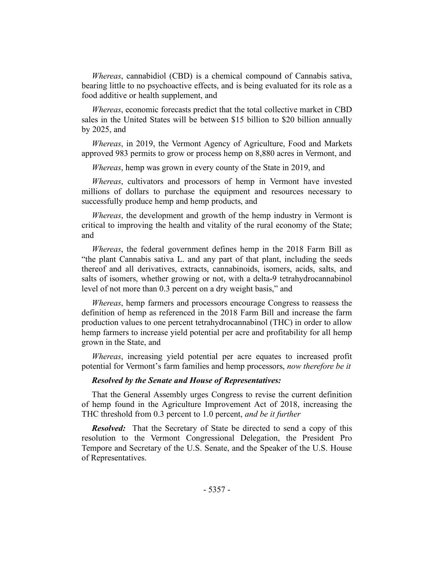*Whereas*, cannabidiol (CBD) is a chemical compound of Cannabis sativa, bearing little to no psychoactive effects, and is being evaluated for its role as a food additive or health supplement, and

*Whereas*, economic forecasts predict that the total collective market in CBD sales in the United States will be between \$15 billion to \$20 billion annually by 2025, and

*Whereas*, in 2019, the Vermont Agency of Agriculture, Food and Markets approved 983 permits to grow or process hemp on 8,880 acres in Vermont, and

*Whereas*, hemp was grown in every county of the State in 2019, and

*Whereas*, cultivators and processors of hemp in Vermont have invested millions of dollars to purchase the equipment and resources necessary to successfully produce hemp and hemp products, and

*Whereas*, the development and growth of the hemp industry in Vermont is critical to improving the health and vitality of the rural economy of the State; and

*Whereas*, the federal government defines hemp in the 2018 Farm Bill as "the plant Cannabis sativa L. and any part of that plant, including the seeds thereof and all derivatives, extracts, cannabinoids, isomers, acids, salts, and salts of isomers, whether growing or not, with a delta-9 tetrahydrocannabinol level of not more than 0.3 percent on a dry weight basis," and

*Whereas*, hemp farmers and processors encourage Congress to reassess the definition of hemp as referenced in the 2018 Farm Bill and increase the farm production values to one percent tetrahydrocannabinol (THC) in order to allow hemp farmers to increase yield potential per acre and profitability for all hemp grown in the State, and

*Whereas*, increasing yield potential per acre equates to increased profit potential for Vermont's farm families and hemp processors, *now therefore be it*

#### *Resolved by the Senate and House of Representatives:*

That the General Assembly urges Congress to revise the current definition of hemp found in the Agriculture Improvement Act of 2018, increasing the THC threshold from 0.3 percent to 1.0 percent, *and be it further*

*Resolved:* That the Secretary of State be directed to send a copy of this resolution to the Vermont Congressional Delegation, the President Pro Tempore and Secretary of the U.S. Senate, and the Speaker of the U.S. House of Representatives.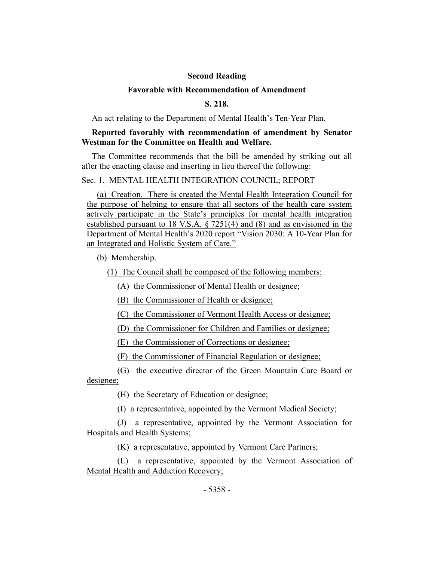## **Second Reading**

#### **Favorable with Recommendation of Amendment**

## **S. 218.**

An act relating to the Department of Mental Health's Ten-Year Plan.

## **Reported favorably with recommendation of amendment by Senator Westman for the Committee on Health and Welfare.**

The Committee recommends that the bill be amended by striking out all after the enacting clause and inserting in lieu thereof the following:

## Sec. 1. MENTAL HEALTH INTEGRATION COUNCIL; REPORT

(a) Creation. There is created the Mental Health Integration Council for the purpose of helping to ensure that all sectors of the health care system actively participate in the State's principles for mental health integration established pursuant to 18 V.S.A. § 7251(4) and (8) and as envisioned in the Department of Mental Health's 2020 report "Vision 2030: A 10-Year Plan for an Integrated and Holistic System of Care."

(b) Membership.

(1) The Council shall be composed of the following members:

(A) the Commissioner of Mental Health or designee;

(B) the Commissioner of Health or designee;

(C) the Commissioner of Vermont Health Access or designee;

(D) the Commissioner for Children and Families or designee;

(E) the Commissioner of Corrections or designee;

(F) the Commissioner of Financial Regulation or designee;

(G) the executive director of the Green Mountain Care Board or designee;

(H) the Secretary of Education or designee;

(I) a representative, appointed by the Vermont Medical Society;

(J) a representative, appointed by the Vermont Association for Hospitals and Health Systems;

(K) a representative, appointed by Vermont Care Partners;

(L) a representative, appointed by the Vermont Association of Mental Health and Addiction Recovery;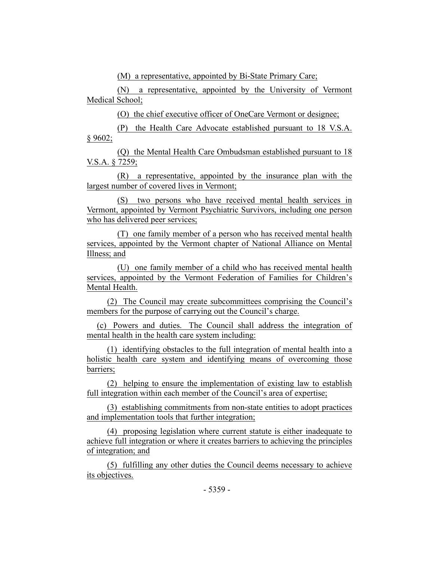(M) a representative, appointed by Bi-State Primary Care;

(N) a representative, appointed by the University of Vermont Medical School;

(O) the chief executive officer of OneCare Vermont or designee;

(P) the Health Care Advocate established pursuant to 18 V.S.A. § 9602;

(Q) the Mental Health Care Ombudsman established pursuant to 18 V.S.A. § 7259;

(R) a representative, appointed by the insurance plan with the largest number of covered lives in Vermont;

(S) two persons who have received mental health services in Vermont, appointed by Vermont Psychiatric Survivors, including one person who has delivered peer services;

(T) one family member of a person who has received mental health services, appointed by the Vermont chapter of National Alliance on Mental Illness; and

(U) one family member of a child who has received mental health services, appointed by the Vermont Federation of Families for Children's Mental Health.

(2) The Council may create subcommittees comprising the Council's members for the purpose of carrying out the Council's charge.

(c) Powers and duties. The Council shall address the integration of mental health in the health care system including:

(1) identifying obstacles to the full integration of mental health into a holistic health care system and identifying means of overcoming those barriers;

(2) helping to ensure the implementation of existing law to establish full integration within each member of the Council's area of expertise;

(3) establishing commitments from non-state entities to adopt practices and implementation tools that further integration;

(4) proposing legislation where current statute is either inadequate to achieve full integration or where it creates barriers to achieving the principles of integration; and

(5) fulfilling any other duties the Council deems necessary to achieve its objectives.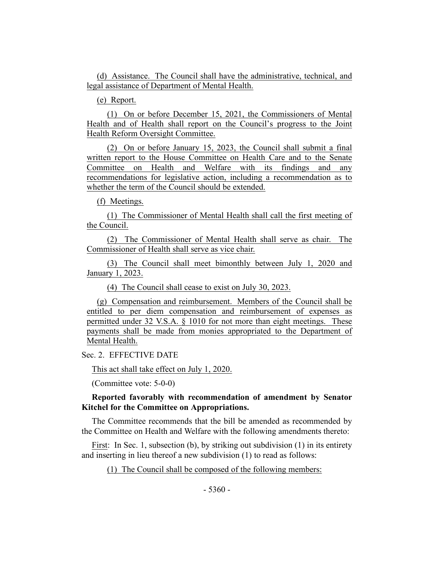(d) Assistance. The Council shall have the administrative, technical, and legal assistance of Department of Mental Health.

(e) Report.

(1) On or before December 15, 2021, the Commissioners of Mental Health and of Health shall report on the Council's progress to the Joint Health Reform Oversight Committee.

(2) On or before January 15, 2023, the Council shall submit a final written report to the House Committee on Health Care and to the Senate Committee on Health and Welfare with its findings and any recommendations for legislative action, including a recommendation as to whether the term of the Council should be extended.

(f) Meetings.

(1) The Commissioner of Mental Health shall call the first meeting of the Council.

(2) The Commissioner of Mental Health shall serve as chair. The Commissioner of Health shall serve as vice chair.

(3) The Council shall meet bimonthly between July 1, 2020 and January 1, 2023.

(4) The Council shall cease to exist on July 30, 2023.

(g) Compensation and reimbursement. Members of the Council shall be entitled to per diem compensation and reimbursement of expenses as permitted under 32 V.S.A. § 1010 for not more than eight meetings. These payments shall be made from monies appropriated to the Department of Mental Health.

Sec. 2. EFFECTIVE DATE

This act shall take effect on July 1, 2020.

(Committee vote: 5-0-0)

## **Reported favorably with recommendation of amendment by Senator Kitchel for the Committee on Appropriations.**

The Committee recommends that the bill be amended as recommended by the Committee on Health and Welfare with the following amendments thereto:

First: In Sec. 1, subsection (b), by striking out subdivision (1) in its entirety and inserting in lieu thereof a new subdivision (1) to read as follows:

(1) The Council shall be composed of the following members: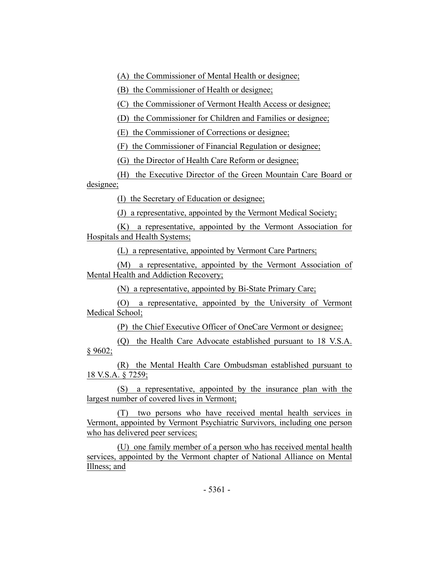(A) the Commissioner of Mental Health or designee;

(B) the Commissioner of Health or designee;

(C) the Commissioner of Vermont Health Access or designee;

(D) the Commissioner for Children and Families or designee;

(E) the Commissioner of Corrections or designee;

(F) the Commissioner of Financial Regulation or designee;

(G) the Director of Health Care Reform or designee;

(H) the Executive Director of the Green Mountain Care Board or designee;

(I) the Secretary of Education or designee;

(J) a representative, appointed by the Vermont Medical Society;

(K) a representative, appointed by the Vermont Association for Hospitals and Health Systems;

(L) a representative, appointed by Vermont Care Partners;

(M) a representative, appointed by the Vermont Association of Mental Health and Addiction Recovery;

(N) a representative, appointed by Bi-State Primary Care;

(O) a representative, appointed by the University of Vermont Medical School;

(P) the Chief Executive Officer of OneCare Vermont or designee;

(Q) the Health Care Advocate established pursuant to 18 V.S.A. § 9602;

(R) the Mental Health Care Ombudsman established pursuant to 18 V.S.A. § 7259;

(S) a representative, appointed by the insurance plan with the largest number of covered lives in Vermont;

(T) two persons who have received mental health services in Vermont, appointed by Vermont Psychiatric Survivors, including one person who has delivered peer services;

(U) one family member of a person who has received mental health services, appointed by the Vermont chapter of National Alliance on Mental Illness; and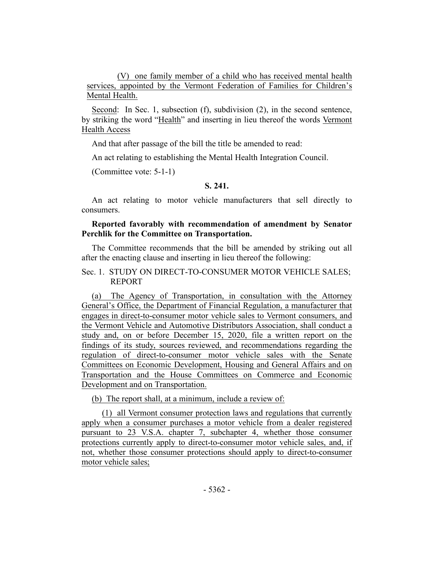(V) one family member of a child who has received mental health services, appointed by the Vermont Federation of Families for Children's Mental Health.

Second: In Sec. 1, subsection (f), subdivision (2), in the second sentence, by striking the word "Health" and inserting in lieu thereof the words Vermont Health Access

And that after passage of the bill the title be amended to read:

An act relating to establishing the Mental Health Integration Council.

(Committee vote: 5-1-1)

#### **S. 241.**

An act relating to motor vehicle manufacturers that sell directly to consumers.

## **Reported favorably with recommendation of amendment by Senator Perchlik for the Committee on Transportation.**

The Committee recommends that the bill be amended by striking out all after the enacting clause and inserting in lieu thereof the following:

## Sec. 1. STUDY ON DIRECT-TO-CONSUMER MOTOR VEHICLE SALES; REPORT

(a) The Agency of Transportation, in consultation with the Attorney General's Office, the Department of Financial Regulation, a manufacturer that engages in direct-to-consumer motor vehicle sales to Vermont consumers, and the Vermont Vehicle and Automotive Distributors Association, shall conduct a study and, on or before December 15, 2020, file a written report on the findings of its study, sources reviewed, and recommendations regarding the regulation of direct-to-consumer motor vehicle sales with the Senate Committees on Economic Development, Housing and General Affairs and on Transportation and the House Committees on Commerce and Economic Development and on Transportation.

(b) The report shall, at a minimum, include a review of:

(1) all Vermont consumer protection laws and regulations that currently apply when a consumer purchases a motor vehicle from a dealer registered pursuant to 23 V.S.A. chapter 7, subchapter 4, whether those consumer protections currently apply to direct-to-consumer motor vehicle sales, and, if not, whether those consumer protections should apply to direct-to-consumer motor vehicle sales;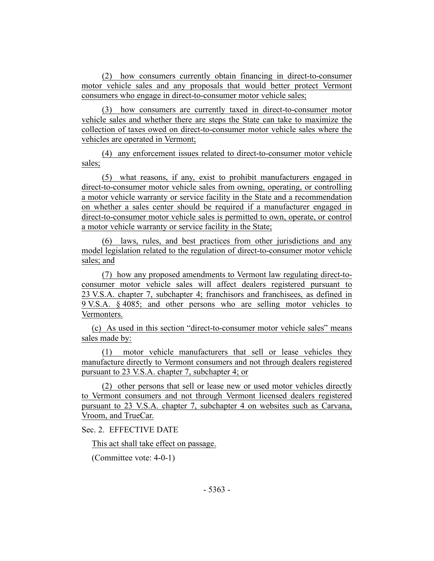(2) how consumers currently obtain financing in direct-to-consumer motor vehicle sales and any proposals that would better protect Vermont consumers who engage in direct-to-consumer motor vehicle sales;

(3) how consumers are currently taxed in direct-to-consumer motor vehicle sales and whether there are steps the State can take to maximize the collection of taxes owed on direct-to-consumer motor vehicle sales where the vehicles are operated in Vermont;

(4) any enforcement issues related to direct-to-consumer motor vehicle sales;

(5) what reasons, if any, exist to prohibit manufacturers engaged in direct-to-consumer motor vehicle sales from owning, operating, or controlling a motor vehicle warranty or service facility in the State and a recommendation on whether a sales center should be required if a manufacturer engaged in direct-to-consumer motor vehicle sales is permitted to own, operate, or control a motor vehicle warranty or service facility in the State;

(6) laws, rules, and best practices from other jurisdictions and any model legislation related to the regulation of direct-to-consumer motor vehicle sales; and

(7) how any proposed amendments to Vermont law regulating direct-toconsumer motor vehicle sales will affect dealers registered pursuant to 23 V.S.A. chapter 7, subchapter 4; franchisors and franchisees, as defined in 9 V.S.A. § 4085; and other persons who are selling motor vehicles to Vermonters.

(c) As used in this section "direct-to-consumer motor vehicle sales" means sales made by:

(1) motor vehicle manufacturers that sell or lease vehicles they manufacture directly to Vermont consumers and not through dealers registered pursuant to 23 V.S.A. chapter 7, subchapter 4; or

(2) other persons that sell or lease new or used motor vehicles directly to Vermont consumers and not through Vermont licensed dealers registered pursuant to 23 V.S.A. chapter 7, subchapter 4 on websites such as Carvana, Vroom, and TrueCar.

## Sec. 2. EFFECTIVE DATE

This act shall take effect on passage.

(Committee vote: 4-0-1)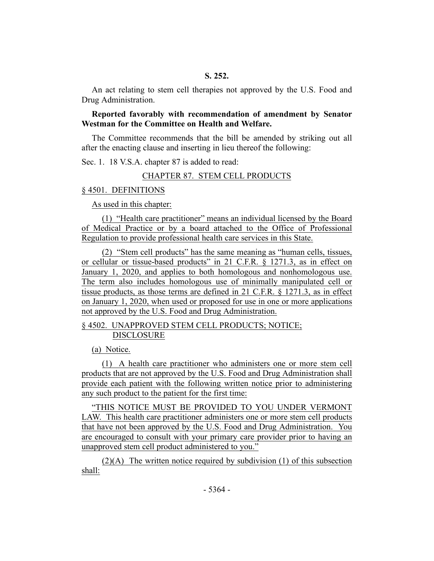An act relating to stem cell therapies not approved by the U.S. Food and Drug Administration.

**Reported favorably with recommendation of amendment by Senator Westman for the Committee on Health and Welfare.**

The Committee recommends that the bill be amended by striking out all after the enacting clause and inserting in lieu thereof the following:

Sec. 1. 18 V.S.A. chapter 87 is added to read:

#### CHAPTER 87. STEM CELL PRODUCTS

#### § 4501. DEFINITIONS

As used in this chapter:

(1) "Health care practitioner" means an individual licensed by the Board of Medical Practice or by a board attached to the Office of Professional Regulation to provide professional health care services in this State.

(2) "Stem cell products" has the same meaning as "human cells, tissues, or cellular or tissue-based products" in 21 C.F.R. § 1271.3, as in effect on January 1, 2020, and applies to both homologous and nonhomologous use. The term also includes homologous use of minimally manipulated cell or tissue products, as those terms are defined in 21 C.F.R. § 1271.3, as in effect on January 1, 2020, when used or proposed for use in one or more applications not approved by the U.S. Food and Drug Administration.

## § 4502. UNAPPROVED STEM CELL PRODUCTS; NOTICE; DISCLOSURE

(a) Notice.

(1) A health care practitioner who administers one or more stem cell products that are not approved by the U.S. Food and Drug Administration shall provide each patient with the following written notice prior to administering any such product to the patient for the first time:

"THIS NOTICE MUST BE PROVIDED TO YOU UNDER VERMONT LAW. This health care practitioner administers one or more stem cell products that have not been approved by the U.S. Food and Drug Administration. You are encouraged to consult with your primary care provider prior to having an unapproved stem cell product administered to you."

(2)(A) The written notice required by subdivision (1) of this subsection shall: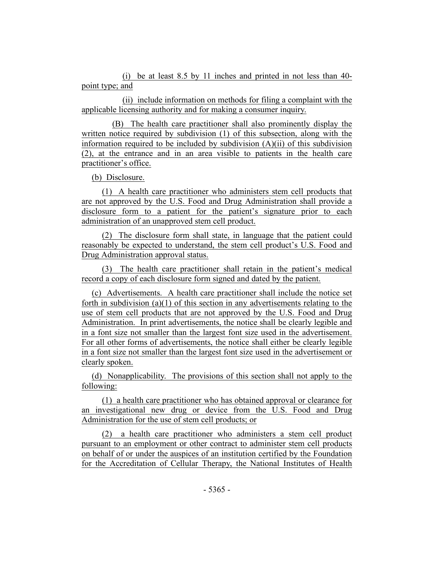(i) be at least 8.5 by 11 inches and printed in not less than 40 point type; and

(ii) include information on methods for filing a complaint with the applicable licensing authority and for making a consumer inquiry.

(B) The health care practitioner shall also prominently display the written notice required by subdivision (1) of this subsection, along with the information required to be included by subdivision (A)(ii) of this subdivision (2), at the entrance and in an area visible to patients in the health care practitioner's office.

(b) Disclosure.

(1) A health care practitioner who administers stem cell products that are not approved by the U.S. Food and Drug Administration shall provide a disclosure form to a patient for the patient's signature prior to each administration of an unapproved stem cell product.

(2) The disclosure form shall state, in language that the patient could reasonably be expected to understand, the stem cell product's U.S. Food and Drug Administration approval status.

(3) The health care practitioner shall retain in the patient's medical record a copy of each disclosure form signed and dated by the patient.

(c) Advertisements. A health care practitioner shall include the notice set forth in subdivision (a)(1) of this section in any advertisements relating to the use of stem cell products that are not approved by the U.S. Food and Drug Administration. In print advertisements, the notice shall be clearly legible and in a font size not smaller than the largest font size used in the advertisement. For all other forms of advertisements, the notice shall either be clearly legible in a font size not smaller than the largest font size used in the advertisement or clearly spoken.

(d) Nonapplicability. The provisions of this section shall not apply to the following:

(1) a health care practitioner who has obtained approval or clearance for an investigational new drug or device from the U.S. Food and Drug Administration for the use of stem cell products; or

(2) a health care practitioner who administers a stem cell product pursuant to an employment or other contract to administer stem cell products on behalf of or under the auspices of an institution certified by the Foundation for the Accreditation of Cellular Therapy, the National Institutes of Health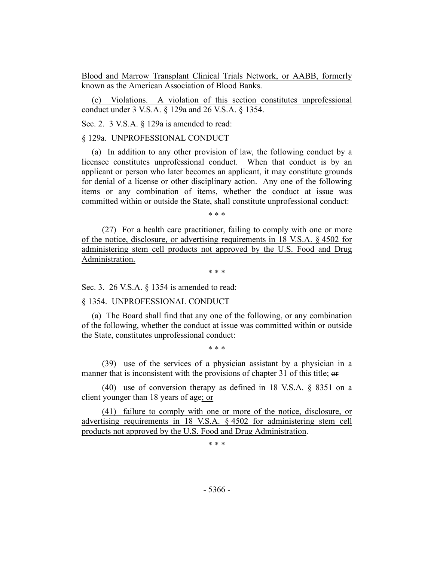Blood and Marrow Transplant Clinical Trials Network, or AABB, formerly known as the American Association of Blood Banks.

(e) Violations. A violation of this section constitutes unprofessional conduct under 3 V.S.A. § 129a and 26 V.S.A. § 1354.

Sec. 2. 3 V.S.A. § 129a is amended to read:

#### § 129a. UNPROFESSIONAL CONDUCT

(a) In addition to any other provision of law, the following conduct by a licensee constitutes unprofessional conduct. When that conduct is by an applicant or person who later becomes an applicant, it may constitute grounds for denial of a license or other disciplinary action. Any one of the following items or any combination of items, whether the conduct at issue was committed within or outside the State, shall constitute unprofessional conduct:

\* \* \*

(27) For a health care practitioner, failing to comply with one or more of the notice, disclosure, or advertising requirements in 18 V.S.A. § 4502 for administering stem cell products not approved by the U.S. Food and Drug Administration.

\* \* \*

Sec. 3. 26 V.S.A. § 1354 is amended to read:

§ 1354. UNPROFESSIONAL CONDUCT

(a) The Board shall find that any one of the following, or any combination of the following, whether the conduct at issue was committed within or outside the State, constitutes unprofessional conduct:

\* \* \*

(39) use of the services of a physician assistant by a physician in a manner that is inconsistent with the provisions of chapter 31 of this title; or

(40) use of conversion therapy as defined in 18 V.S.A. § 8351 on a client younger than 18 years of age; or

(41) failure to comply with one or more of the notice, disclosure, or advertising requirements in 18 V.S.A. § 4502 for administering stem cell products not approved by the U.S. Food and Drug Administration.

\* \* \*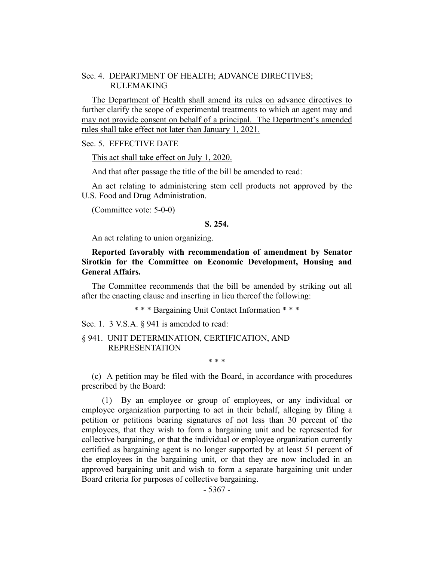## Sec. 4. DEPARTMENT OF HEALTH; ADVANCE DIRECTIVES; RULEMAKING

The Department of Health shall amend its rules on advance directives to further clarify the scope of experimental treatments to which an agent may and may not provide consent on behalf of a principal. The Department's amended rules shall take effect not later than January 1, 2021.

#### Sec. 5. EFFECTIVE DATE

This act shall take effect on July 1, 2020.

And that after passage the title of the bill be amended to read:

An act relating to administering stem cell products not approved by the U.S. Food and Drug Administration.

(Committee vote: 5-0-0)

## **S. 254.**

An act relating to union organizing.

## **Reported favorably with recommendation of amendment by Senator Sirotkin for the Committee on Economic Development, Housing and General Affairs.**

The Committee recommends that the bill be amended by striking out all after the enacting clause and inserting in lieu thereof the following:

\* \* \* Bargaining Unit Contact Information \* \* \*

Sec. 1. 3 V.S.A. § 941 is amended to read:

## § 941. UNIT DETERMINATION, CERTIFICATION, AND REPRESENTATION

\* \* \*

(c) A petition may be filed with the Board, in accordance with procedures prescribed by the Board:

(1) By an employee or group of employees, or any individual or employee organization purporting to act in their behalf, alleging by filing a petition or petitions bearing signatures of not less than 30 percent of the employees, that they wish to form a bargaining unit and be represented for collective bargaining, or that the individual or employee organization currently certified as bargaining agent is no longer supported by at least 51 percent of the employees in the bargaining unit, or that they are now included in an approved bargaining unit and wish to form a separate bargaining unit under Board criteria for purposes of collective bargaining.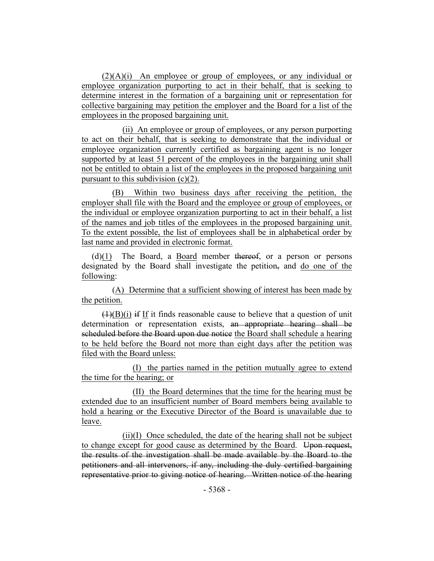$(2)(A)(i)$  An employee or group of employees, or any individual or employee organization purporting to act in their behalf, that is seeking to determine interest in the formation of a bargaining unit or representation for collective bargaining may petition the employer and the Board for a list of the employees in the proposed bargaining unit.

(ii) An employee or group of employees, or any person purporting to act on their behalf, that is seeking to demonstrate that the individual or employee organization currently certified as bargaining agent is no longer supported by at least 51 percent of the employees in the bargaining unit shall not be entitled to obtain a list of the employees in the proposed bargaining unit pursuant to this subdivision  $(c)(2)$ .

(B) Within two business days after receiving the petition, the employer shall file with the Board and the employee or group of employees, or the individual or employee organization purporting to act in their behalf, a list of the names and job titles of the employees in the proposed bargaining unit. To the extent possible, the list of employees shall be in alphabetical order by last name and provided in electronic format.

 $(d)(1)$  The Board, a Board member thereof, or a person or persons designated by the Board shall investigate the petition, and do one of the following:

(A) Determine that a sufficient showing of interest has been made by the petition.

 $(1)(B)(i)$  if If it finds reasonable cause to believe that a question of unit determination or representation exists, an appropriate hearing shall be scheduled before the Board upon due notice the Board shall schedule a hearing to be held before the Board not more than eight days after the petition was filed with the Board unless:

(I) the parties named in the petition mutually agree to extend the time for the hearing; or

(II) the Board determines that the time for the hearing must be extended due to an insufficient number of Board members being available to hold a hearing or the Executive Director of the Board is unavailable due to leave.

 $(ii)(I)$  Once scheduled, the date of the hearing shall not be subject to change except for good cause as determined by the Board. Upon request, the results of the investigation shall be made available by the Board to the petitioners and all intervenors, if any, including the duly certified bargaining representative prior to giving notice of hearing. Written notice of the hearing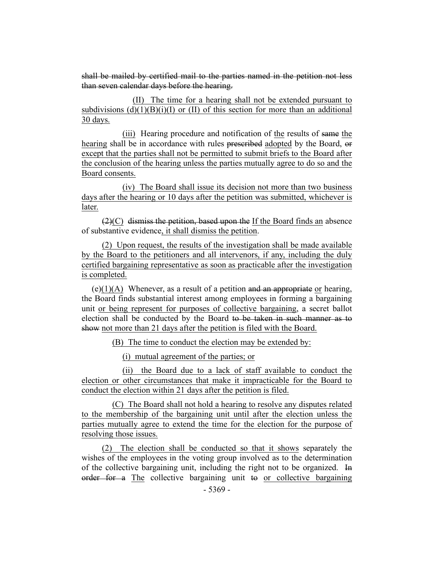shall be mailed by certified mail to the parties named in the petition not less than seven calendar days before the hearing.

(II) The time for a hearing shall not be extended pursuant to subdivisions  $(d)(1)(B)(i)(I)$  or  $(II)$  of this section for more than an additional 30 days.

(iii) Hearing procedure and notification of the results of same the hearing shall be in accordance with rules prescribed adopted by the Board, or except that the parties shall not be permitted to submit briefs to the Board after the conclusion of the hearing unless the parties mutually agree to do so and the Board consents.

(iv) The Board shall issue its decision not more than two business days after the hearing or 10 days after the petition was submitted, whichever is later.

(2)(C) dismiss the petition, based upon the If the Board finds an absence of substantive evidence, it shall dismiss the petition.

(2) Upon request, the results of the investigation shall be made available by the Board to the petitioners and all intervenors, if any, including the duly certified bargaining representative as soon as practicable after the investigation is completed.

 $(e)(1)(A)$  Whenever, as a result of a petition and an appropriate or hearing, the Board finds substantial interest among employees in forming a bargaining unit or being represent for purposes of collective bargaining, a secret ballot election shall be conducted by the Board to be taken in such manner as to show not more than 21 days after the petition is filed with the Board.

(B) The time to conduct the election may be extended by:

(i) mutual agreement of the parties; or

(ii) the Board due to a lack of staff available to conduct the election or other circumstances that make it impracticable for the Board to conduct the election within 21 days after the petition is filed.

(C) The Board shall not hold a hearing to resolve any disputes related to the membership of the bargaining unit until after the election unless the parties mutually agree to extend the time for the election for the purpose of resolving those issues.

(2) The election shall be conducted so that it shows separately the wishes of the employees in the voting group involved as to the determination of the collective bargaining unit, including the right not to be organized. In order for a The collective bargaining unit to or collective bargaining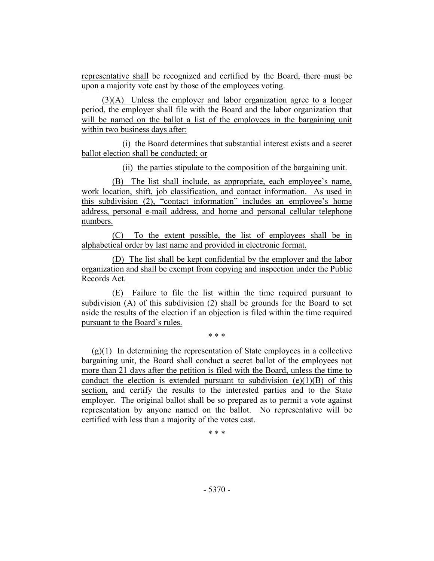representative shall be recognized and certified by the Board, there must be upon a majority vote cast by those of the employees voting.

(3)(A) Unless the employer and labor organization agree to a longer period, the employer shall file with the Board and the labor organization that will be named on the ballot a list of the employees in the bargaining unit within two business days after:

(i) the Board determines that substantial interest exists and a secret ballot election shall be conducted; or

(ii) the parties stipulate to the composition of the bargaining unit.

(B) The list shall include, as appropriate, each employee's name, work location, shift, job classification, and contact information. As used in this subdivision (2), "contact information" includes an employee's home address, personal e-mail address, and home and personal cellular telephone numbers.

(C) To the extent possible, the list of employees shall be in alphabetical order by last name and provided in electronic format.

(D) The list shall be kept confidential by the employer and the labor organization and shall be exempt from copying and inspection under the Public Records Act.

(E) Failure to file the list within the time required pursuant to subdivision (A) of this subdivision (2) shall be grounds for the Board to set aside the results of the election if an objection is filed within the time required pursuant to the Board's rules.

\* \* \*

 $(g)(1)$  In determining the representation of State employees in a collective bargaining unit, the Board shall conduct a secret ballot of the employees not more than 21 days after the petition is filed with the Board, unless the time to conduct the election is extended pursuant to subdivision  $(e)(1)(B)$  of this section, and certify the results to the interested parties and to the State employer. The original ballot shall be so prepared as to permit a vote against representation by anyone named on the ballot. No representative will be certified with less than a majority of the votes cast.

\* \* \*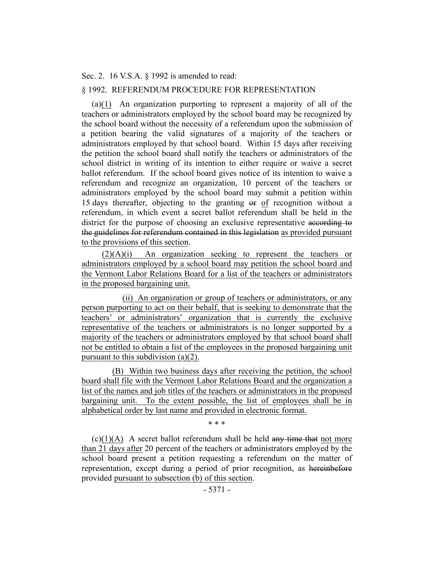#### Sec. 2. 16 V.S.A. § 1992 is amended to read:

## § 1992. REFERENDUM PROCEDURE FOR REPRESENTATION

(a)(1) An organization purporting to represent a majority of all of the teachers or administrators employed by the school board may be recognized by the school board without the necessity of a referendum upon the submission of a petition bearing the valid signatures of a majority of the teachers or administrators employed by that school board. Within 15 days after receiving the petition the school board shall notify the teachers or administrators of the school district in writing of its intention to either require or waive a secret ballot referendum. If the school board gives notice of its intention to waive a referendum and recognize an organization, 10 percent of the teachers or administrators employed by the school board may submit a petition within 15 days thereafter, objecting to the granting or of recognition without a referendum, in which event a secret ballot referendum shall be held in the district for the purpose of choosing an exclusive representative according to the guidelines for referendum contained in this legislation as provided pursuant to the provisions of this section.

(2)(A)(i) An organization seeking to represent the teachers or administrators employed by a school board may petition the school board and the Vermont Labor Relations Board for a list of the teachers or administrators in the proposed bargaining unit.

(ii) An organization or group of teachers or administrators, or any person purporting to act on their behalf, that is seeking to demonstrate that the teachers' or administrators' organization that is currently the exclusive representative of the teachers or administrators is no longer supported by a majority of the teachers or administrators employed by that school board shall not be entitled to obtain a list of the employees in the proposed bargaining unit pursuant to this subdivision (a)(2).

(B) Within two business days after receiving the petition, the school board shall file with the Vermont Labor Relations Board and the organization a list of the names and job titles of the teachers or administrators in the proposed bargaining unit. To the extent possible, the list of employees shall be in alphabetical order by last name and provided in electronic format.

\* \* \*

 $(c)(1)(A)$  A secret ballot referendum shall be held any time that not more than 21 days after 20 percent of the teachers or administrators employed by the school board present a petition requesting a referendum on the matter of representation, except during a period of prior recognition, as hereinbefore provided pursuant to subsection (b) of this section.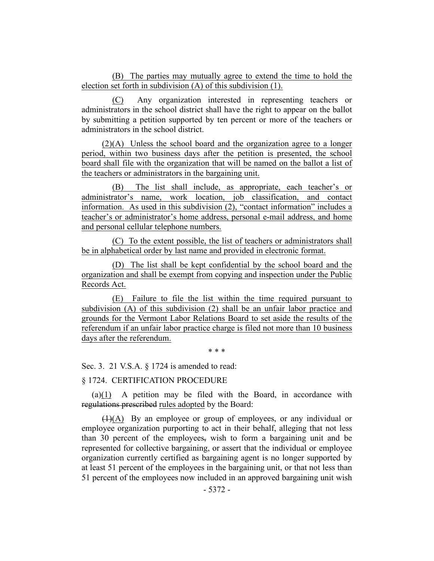(B) The parties may mutually agree to extend the time to hold the election set forth in subdivision (A) of this subdivision (1).

(C) Any organization interested in representing teachers or administrators in the school district shall have the right to appear on the ballot by submitting a petition supported by ten percent or more of the teachers or administrators in the school district.

(2)(A) Unless the school board and the organization agree to a longer period, within two business days after the petition is presented, the school board shall file with the organization that will be named on the ballot a list of the teachers or administrators in the bargaining unit.

(B) The list shall include, as appropriate, each teacher's or administrator's name, work location, job classification, and contact information. As used in this subdivision (2), "contact information" includes a teacher's or administrator's home address, personal e-mail address, and home and personal cellular telephone numbers.

(C) To the extent possible, the list of teachers or administrators shall be in alphabetical order by last name and provided in electronic format.

(D) The list shall be kept confidential by the school board and the organization and shall be exempt from copying and inspection under the Public Records Act.

(E) Failure to file the list within the time required pursuant to subdivision (A) of this subdivision (2) shall be an unfair labor practice and grounds for the Vermont Labor Relations Board to set aside the results of the referendum if an unfair labor practice charge is filed not more than 10 business days after the referendum.

\* \* \*

Sec. 3. 21 V.S.A. § 1724 is amended to read:

#### § 1724. CERTIFICATION PROCEDURE

(a)(1) A petition may be filed with the Board, in accordance with regulations prescribed rules adopted by the Board:

(1)(A) By an employee or group of employees, or any individual or employee organization purporting to act in their behalf, alleging that not less than 30 percent of the employees, wish to form a bargaining unit and be represented for collective bargaining, or assert that the individual or employee organization currently certified as bargaining agent is no longer supported by at least 51 percent of the employees in the bargaining unit, or that not less than 51 percent of the employees now included in an approved bargaining unit wish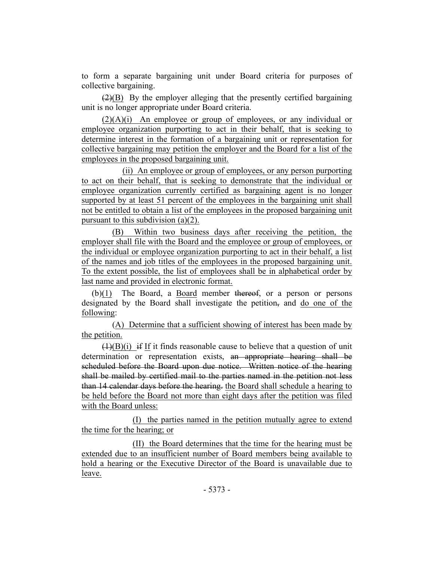to form a separate bargaining unit under Board criteria for purposes of collective bargaining.

 $(2)(B)$  By the employer alleging that the presently certified bargaining unit is no longer appropriate under Board criteria.

 $(2)(A)(i)$  An employee or group of employees, or any individual or employee organization purporting to act in their behalf, that is seeking to determine interest in the formation of a bargaining unit or representation for collective bargaining may petition the employer and the Board for a list of the employees in the proposed bargaining unit.

(ii) An employee or group of employees, or any person purporting to act on their behalf, that is seeking to demonstrate that the individual or employee organization currently certified as bargaining agent is no longer supported by at least 51 percent of the employees in the bargaining unit shall not be entitled to obtain a list of the employees in the proposed bargaining unit pursuant to this subdivision (a)(2).

(B) Within two business days after receiving the petition, the employer shall file with the Board and the employee or group of employees, or the individual or employee organization purporting to act in their behalf, a list of the names and job titles of the employees in the proposed bargaining unit. To the extent possible, the list of employees shall be in alphabetical order by last name and provided in electronic format.

(b)(1) The Board, a Board member thereof, or a person or persons designated by the Board shall investigate the petition, and do one of the following:

(A) Determine that a sufficient showing of interest has been made by the petition.

 $(1)(B)(i)$  if If it finds reasonable cause to believe that a question of unit determination or representation exists, an appropriate hearing shall be scheduled before the Board upon due notice. Written notice of the hearing shall be mailed by certified mail to the parties named in the petition not less than 14 calendar days before the hearing. the Board shall schedule a hearing to be held before the Board not more than eight days after the petition was filed with the Board unless:

(I) the parties named in the petition mutually agree to extend the time for the hearing; or

(II) the Board determines that the time for the hearing must be extended due to an insufficient number of Board members being available to hold a hearing or the Executive Director of the Board is unavailable due to leave.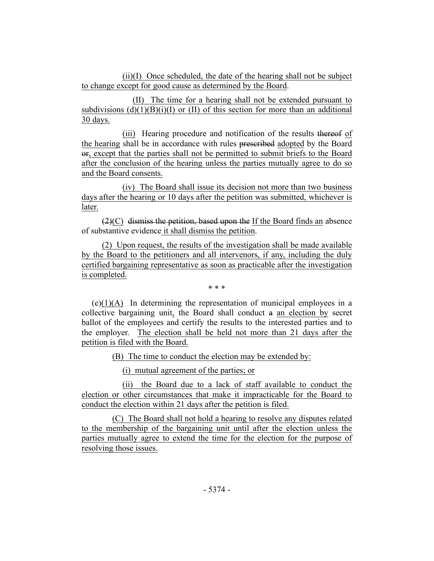(ii)(I) Once scheduled, the date of the hearing shall not be subject to change except for good cause as determined by the Board.

(II) The time for a hearing shall not be extended pursuant to subdivisions  $(d)(1)(B)(i)(I)$  or  $(II)$  of this section for more than an additional 30 days.

(iii) Hearing procedure and notification of the results thereof of the hearing shall be in accordance with rules prescribed adopted by the Board or, except that the parties shall not be permitted to submit briefs to the Board after the conclusion of the hearing unless the parties mutually agree to do so and the Board consents.

(iv) The Board shall issue its decision not more than two business days after the hearing or 10 days after the petition was submitted, whichever is later.

 $(2)(C)$  dismiss the petition, based upon the If the Board finds an absence of substantive evidence it shall dismiss the petition.

(2) Upon request, the results of the investigation shall be made available by the Board to the petitioners and all intervenors, if any, including the duly certified bargaining representative as soon as practicable after the investigation is completed.

\* \* \*

 $(e)(1)(A)$  In determining the representation of municipal employees in a collective bargaining unit, the Board shall conduct a an election by secret ballot of the employees and certify the results to the interested parties and to the employer. The election shall be held not more than 21 days after the petition is filed with the Board.

(B) The time to conduct the election may be extended by:

(i) mutual agreement of the parties; or

(ii) the Board due to a lack of staff available to conduct the election or other circumstances that make it impracticable for the Board to conduct the election within 21 days after the petition is filed.

(C) The Board shall not hold a hearing to resolve any disputes related to the membership of the bargaining unit until after the election unless the parties mutually agree to extend the time for the election for the purpose of resolving those issues.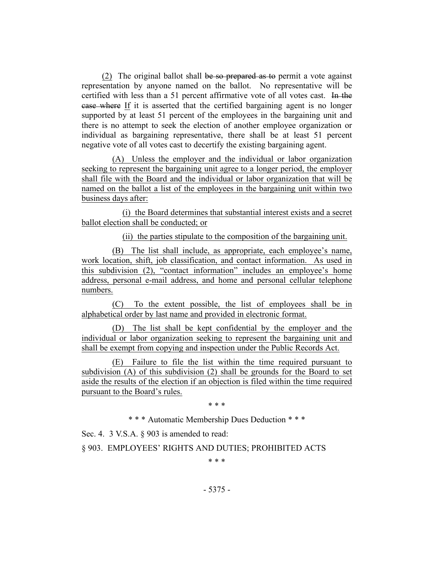(2) The original ballot shall be so prepared as to permit a vote against representation by anyone named on the ballot. No representative will be certified with less than a 51 percent affirmative vote of all votes cast. In the case where If it is asserted that the certified bargaining agent is no longer supported by at least 51 percent of the employees in the bargaining unit and there is no attempt to seek the election of another employee organization or individual as bargaining representative, there shall be at least 51 percent negative vote of all votes cast to decertify the existing bargaining agent.

(A) Unless the employer and the individual or labor organization seeking to represent the bargaining unit agree to a longer period, the employer shall file with the Board and the individual or labor organization that will be named on the ballot a list of the employees in the bargaining unit within two business days after:

(i) the Board determines that substantial interest exists and a secret ballot election shall be conducted; or

(ii) the parties stipulate to the composition of the bargaining unit.

(B) The list shall include, as appropriate, each employee's name, work location, shift, job classification, and contact information. As used in this subdivision (2), "contact information" includes an employee's home address, personal e-mail address, and home and personal cellular telephone numbers.

(C) To the extent possible, the list of employees shall be in alphabetical order by last name and provided in electronic format.

(D) The list shall be kept confidential by the employer and the individual or labor organization seeking to represent the bargaining unit and shall be exempt from copying and inspection under the Public Records Act.

(E) Failure to file the list within the time required pursuant to subdivision (A) of this subdivision (2) shall be grounds for the Board to set aside the results of the election if an objection is filed within the time required pursuant to the Board's rules.

\* \* \*

\* \* \* Automatic Membership Dues Deduction \* \* \*

Sec. 4. 3 V.S.A. § 903 is amended to read:

§ 903. EMPLOYEES' RIGHTS AND DUTIES; PROHIBITED ACTS

\* \* \*

- 5375 -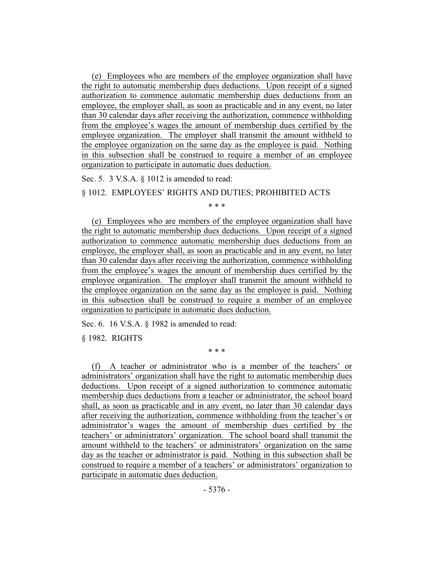(e) Employees who are members of the employee organization shall have the right to automatic membership dues deductions. Upon receipt of a signed authorization to commence automatic membership dues deductions from an employee, the employer shall, as soon as practicable and in any event, no later than 30 calendar days after receiving the authorization, commence withholding from the employee's wages the amount of membership dues certified by the employee organization. The employer shall transmit the amount withheld to the employee organization on the same day as the employee is paid. Nothing in this subsection shall be construed to require a member of an employee organization to participate in automatic dues deduction.

Sec. 5. 3 V.S.A. § 1012 is amended to read:

## § 1012. EMPLOYEES' RIGHTS AND DUTIES; PROHIBITED ACTS

\* \* \*

(e) Employees who are members of the employee organization shall have the right to automatic membership dues deductions. Upon receipt of a signed authorization to commence automatic membership dues deductions from an employee, the employer shall, as soon as practicable and in any event, no later than 30 calendar days after receiving the authorization, commence withholding from the employee's wages the amount of membership dues certified by the employee organization. The employer shall transmit the amount withheld to the employee organization on the same day as the employee is paid. Nothing in this subsection shall be construed to require a member of an employee organization to participate in automatic dues deduction.

Sec. 6. 16 V.S.A. § 1982 is amended to read:

§ 1982. RIGHTS

\* \* \*

(f) A teacher or administrator who is a member of the teachers' or administrators' organization shall have the right to automatic membership dues deductions. Upon receipt of a signed authorization to commence automatic membership dues deductions from a teacher or administrator, the school board shall, as soon as practicable and in any event, no later than 30 calendar days after receiving the authorization, commence withholding from the teacher's or administrator's wages the amount of membership dues certified by the teachers' or administrators' organization. The school board shall transmit the amount withheld to the teachers' or administrators' organization on the same day as the teacher or administrator is paid. Nothing in this subsection shall be construed to require a member of a teachers' or administrators' organization to participate in automatic dues deduction.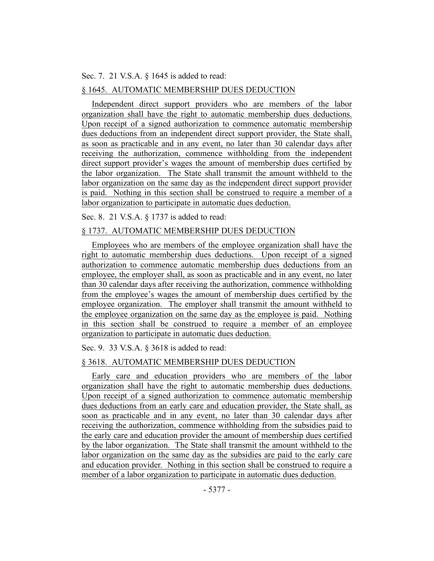#### Sec. 7. 21 V.S.A. § 1645 is added to read:

#### § 1645. AUTOMATIC MEMBERSHIP DUES DEDUCTION

Independent direct support providers who are members of the labor organization shall have the right to automatic membership dues deductions. Upon receipt of a signed authorization to commence automatic membership dues deductions from an independent direct support provider, the State shall, as soon as practicable and in any event, no later than 30 calendar days after receiving the authorization, commence withholding from the independent direct support provider's wages the amount of membership dues certified by the labor organization. The State shall transmit the amount withheld to the labor organization on the same day as the independent direct support provider is paid. Nothing in this section shall be construed to require a member of a labor organization to participate in automatic dues deduction.

Sec. 8. 21 V.S.A. § 1737 is added to read:

## § 1737. AUTOMATIC MEMBERSHIP DUES DEDUCTION

Employees who are members of the employee organization shall have the right to automatic membership dues deductions. Upon receipt of a signed authorization to commence automatic membership dues deductions from an employee, the employer shall, as soon as practicable and in any event, no later than 30 calendar days after receiving the authorization, commence withholding from the employee's wages the amount of membership dues certified by the employee organization. The employer shall transmit the amount withheld to the employee organization on the same day as the employee is paid. Nothing in this section shall be construed to require a member of an employee organization to participate in automatic dues deduction.

Sec. 9. 33 V.S.A. § 3618 is added to read:

## § 3618. AUTOMATIC MEMBERSHIP DUES DEDUCTION

Early care and education providers who are members of the labor organization shall have the right to automatic membership dues deductions. Upon receipt of a signed authorization to commence automatic membership dues deductions from an early care and education provider, the State shall, as soon as practicable and in any event, no later than 30 calendar days after receiving the authorization, commence withholding from the subsidies paid to the early care and education provider the amount of membership dues certified by the labor organization. The State shall transmit the amount withheld to the labor organization on the same day as the subsidies are paid to the early care and education provider. Nothing in this section shall be construed to require a member of a labor organization to participate in automatic dues deduction.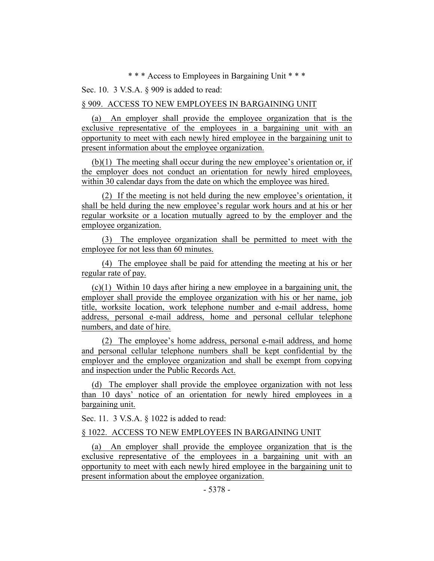\* \* \* Access to Employees in Bargaining Unit \* \* \*

Sec. 10. 3 V.S.A. § 909 is added to read:

#### § 909. ACCESS TO NEW EMPLOYEES IN BARGAINING UNIT

(a) An employer shall provide the employee organization that is the exclusive representative of the employees in a bargaining unit with an opportunity to meet with each newly hired employee in the bargaining unit to present information about the employee organization.

(b)(1) The meeting shall occur during the new employee's orientation or, if the employer does not conduct an orientation for newly hired employees, within 30 calendar days from the date on which the employee was hired.

(2) If the meeting is not held during the new employee's orientation, it shall be held during the new employee's regular work hours and at his or her regular worksite or a location mutually agreed to by the employer and the employee organization.

(3) The employee organization shall be permitted to meet with the employee for not less than 60 minutes.

(4) The employee shall be paid for attending the meeting at his or her regular rate of pay.

(c)(1) Within 10 days after hiring a new employee in a bargaining unit, the employer shall provide the employee organization with his or her name, job title, worksite location, work telephone number and e-mail address, home address, personal e-mail address, home and personal cellular telephone numbers, and date of hire.

(2) The employee's home address, personal e-mail address, and home and personal cellular telephone numbers shall be kept confidential by the employer and the employee organization and shall be exempt from copying and inspection under the Public Records Act.

(d) The employer shall provide the employee organization with not less than 10 days' notice of an orientation for newly hired employees in a bargaining unit.

Sec. 11. 3 V.S.A. § 1022 is added to read:

§ 1022. ACCESS TO NEW EMPLOYEES IN BARGAINING UNIT

(a) An employer shall provide the employee organization that is the exclusive representative of the employees in a bargaining unit with an opportunity to meet with each newly hired employee in the bargaining unit to present information about the employee organization.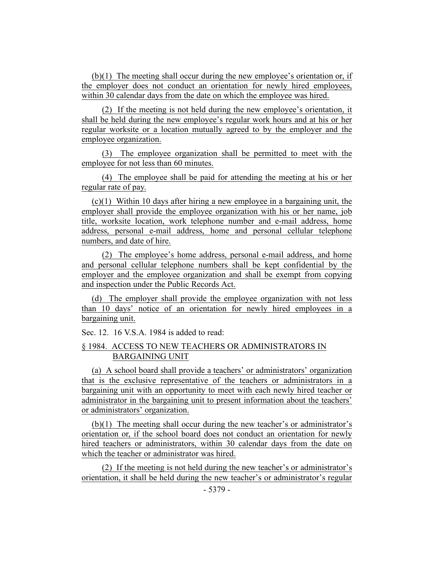(b)(1) The meeting shall occur during the new employee's orientation or, if the employer does not conduct an orientation for newly hired employees, within 30 calendar days from the date on which the employee was hired.

(2) If the meeting is not held during the new employee's orientation, it shall be held during the new employee's regular work hours and at his or her regular worksite or a location mutually agreed to by the employer and the employee organization.

(3) The employee organization shall be permitted to meet with the employee for not less than 60 minutes.

(4) The employee shall be paid for attending the meeting at his or her regular rate of pay.

 $(c)(1)$  Within 10 days after hiring a new employee in a bargaining unit, the employer shall provide the employee organization with his or her name, job title, worksite location, work telephone number and e-mail address, home address, personal e-mail address, home and personal cellular telephone numbers, and date of hire.

(2) The employee's home address, personal e-mail address, and home and personal cellular telephone numbers shall be kept confidential by the employer and the employee organization and shall be exempt from copying and inspection under the Public Records Act.

(d) The employer shall provide the employee organization with not less than 10 days' notice of an orientation for newly hired employees in a bargaining unit.

Sec. 12. 16 V.S.A. 1984 is added to read:

## § 1984. ACCESS TO NEW TEACHERS OR ADMINISTRATORS IN BARGAINING UNIT

(a) A school board shall provide a teachers' or administrators' organization that is the exclusive representative of the teachers or administrators in a bargaining unit with an opportunity to meet with each newly hired teacher or administrator in the bargaining unit to present information about the teachers' or administrators' organization.

(b)(1) The meeting shall occur during the new teacher's or administrator's orientation or, if the school board does not conduct an orientation for newly hired teachers or administrators, within 30 calendar days from the date on which the teacher or administrator was hired.

(2) If the meeting is not held during the new teacher's or administrator's orientation, it shall be held during the new teacher's or administrator's regular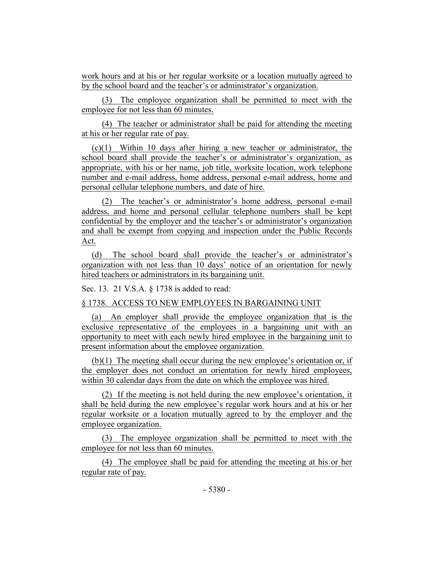work hours and at his or her regular worksite or a location mutually agreed to by the school board and the teacher's or administrator's organization.

(3) The employee organization shall be permitted to meet with the employee for not less than 60 minutes.

(4) The teacher or administrator shall be paid for attending the meeting at his or her regular rate of pay.

(c)(1) Within 10 days after hiring a new teacher or administrator, the school board shall provide the teacher's or administrator's organization, as appropriate, with his or her name, job title, worksite location, work telephone number and e-mail address, home address, personal e-mail address, home and personal cellular telephone numbers, and date of hire.

(2) The teacher's or administrator's home address, personal e-mail address, and home and personal cellular telephone numbers shall be kept confidential by the employer and the teacher's or administrator's organization and shall be exempt from copying and inspection under the Public Records Act.

(d) The school board shall provide the teacher's or administrator's organization with not less than 10 days' notice of an orientation for newly hired teachers or administrators in its bargaining unit.

Sec. 13. 21 V.S.A. § 1738 is added to read:

§ 1738. ACCESS TO NEW EMPLOYEES IN BARGAINING UNIT

(a) An employer shall provide the employee organization that is the exclusive representative of the employees in a bargaining unit with an opportunity to meet with each newly hired employee in the bargaining unit to present information about the employee organization.

(b)(1) The meeting shall occur during the new employee's orientation or, if the employer does not conduct an orientation for newly hired employees, within 30 calendar days from the date on which the employee was hired.

(2) If the meeting is not held during the new employee's orientation, it shall be held during the new employee's regular work hours and at his or her regular worksite or a location mutually agreed to by the employer and the employee organization.

(3) The employee organization shall be permitted to meet with the employee for not less than 60 minutes.

(4) The employee shall be paid for attending the meeting at his or her regular rate of pay.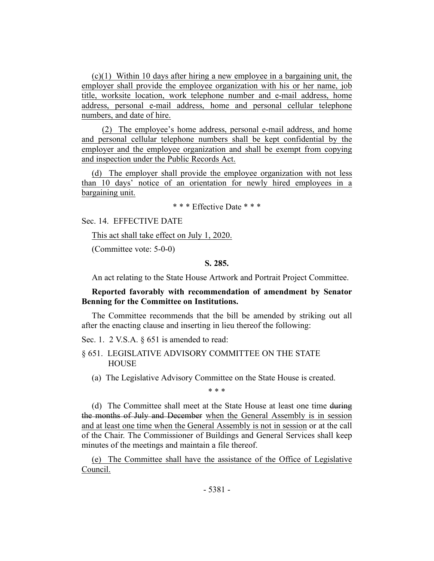$(c)(1)$  Within 10 days after hiring a new employee in a bargaining unit, the employer shall provide the employee organization with his or her name, job title, worksite location, work telephone number and e-mail address, home address, personal e-mail address, home and personal cellular telephone numbers, and date of hire.

(2) The employee's home address, personal e-mail address, and home and personal cellular telephone numbers shall be kept confidential by the employer and the employee organization and shall be exempt from copying and inspection under the Public Records Act.

(d) The employer shall provide the employee organization with not less than 10 days' notice of an orientation for newly hired employees in a bargaining unit.

\* \* \* Effective Date \* \* \*

Sec. 14. EFFECTIVE DATE

This act shall take effect on July 1, 2020.

(Committee vote: 5-0-0)

#### **S. 285.**

An act relating to the State House Artwork and Portrait Project Committee.

## **Reported favorably with recommendation of amendment by Senator Benning for the Committee on Institutions.**

The Committee recommends that the bill be amended by striking out all after the enacting clause and inserting in lieu thereof the following:

Sec. 1. 2 V.S.A.  $\S 651$  is amended to read:

- § 651. LEGISLATIVE ADVISORY COMMITTEE ON THE STATE **HOUSE** 
	- (a) The Legislative Advisory Committee on the State House is created.

\* \* \*

(d) The Committee shall meet at the State House at least one time during the months of July and December when the General Assembly is in session and at least one time when the General Assembly is not in session or at the call of the Chair. The Commissioner of Buildings and General Services shall keep minutes of the meetings and maintain a file thereof.

(e) The Committee shall have the assistance of the Office of Legislative Council.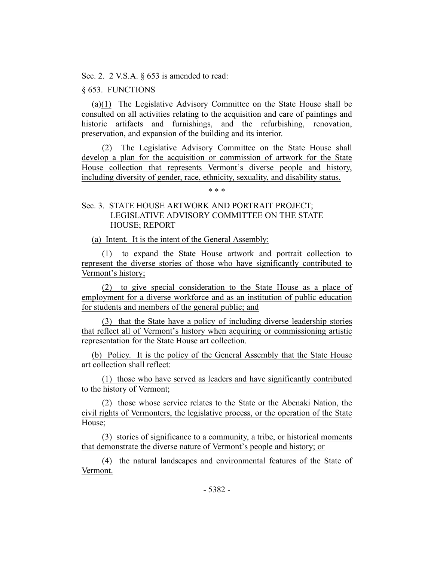Sec. 2. 2 V.S.A.  $\S 653$  is amended to read:

§ 653. FUNCTIONS

(a)(1) The Legislative Advisory Committee on the State House shall be consulted on all activities relating to the acquisition and care of paintings and historic artifacts and furnishings, and the refurbishing, renovation, preservation, and expansion of the building and its interior.

(2) The Legislative Advisory Committee on the State House shall develop a plan for the acquisition or commission of artwork for the State House collection that represents Vermont's diverse people and history, including diversity of gender, race, ethnicity, sexuality, and disability status.

## \* \* \*

## Sec. 3. STATE HOUSE ARTWORK AND PORTRAIT PROJECT; LEGISLATIVE ADVISORY COMMITTEE ON THE STATE HOUSE; REPORT

(a) Intent. It is the intent of the General Assembly:

(1) to expand the State House artwork and portrait collection to represent the diverse stories of those who have significantly contributed to Vermont's history;

(2) to give special consideration to the State House as a place of employment for a diverse workforce and as an institution of public education for students and members of the general public; and

(3) that the State have a policy of including diverse leadership stories that reflect all of Vermont's history when acquiring or commissioning artistic representation for the State House art collection.

(b) Policy. It is the policy of the General Assembly that the State House art collection shall reflect:

(1) those who have served as leaders and have significantly contributed to the history of Vermont;

(2) those whose service relates to the State or the Abenaki Nation, the civil rights of Vermonters, the legislative process, or the operation of the State House;

(3) stories of significance to a community, a tribe, or historical moments that demonstrate the diverse nature of Vermont's people and history; or

(4) the natural landscapes and environmental features of the State of Vermont.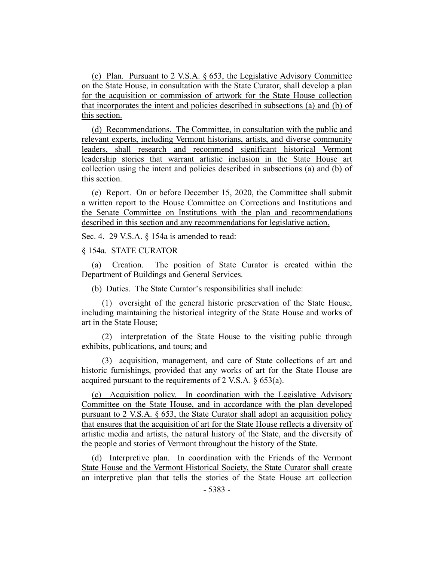(c) Plan. Pursuant to 2 V.S.A. § 653, the Legislative Advisory Committee on the State House, in consultation with the State Curator, shall develop a plan for the acquisition or commission of artwork for the State House collection that incorporates the intent and policies described in subsections (a) and (b) of this section.

(d) Recommendations. The Committee, in consultation with the public and relevant experts, including Vermont historians, artists, and diverse community leaders, shall research and recommend significant historical Vermont leadership stories that warrant artistic inclusion in the State House art collection using the intent and policies described in subsections (a) and (b) of this section.

(e) Report. On or before December 15, 2020, the Committee shall submit a written report to the House Committee on Corrections and Institutions and the Senate Committee on Institutions with the plan and recommendations described in this section and any recommendations for legislative action.

Sec. 4. 29 V.S.A. § 154a is amended to read:

#### § 154a. STATE CURATOR

(a) Creation. The position of State Curator is created within the Department of Buildings and General Services.

(b) Duties. The State Curator's responsibilities shall include:

(1) oversight of the general historic preservation of the State House, including maintaining the historical integrity of the State House and works of art in the State House;

(2) interpretation of the State House to the visiting public through exhibits, publications, and tours; and

(3) acquisition, management, and care of State collections of art and historic furnishings, provided that any works of art for the State House are acquired pursuant to the requirements of 2 V.S.A. § 653(a).

(c) Acquisition policy. In coordination with the Legislative Advisory Committee on the State House, and in accordance with the plan developed pursuant to 2 V.S.A. § 653, the State Curator shall adopt an acquisition policy that ensures that the acquisition of art for the State House reflects a diversity of artistic media and artists, the natural history of the State, and the diversity of the people and stories of Vermont throughout the history of the State.

(d) Interpretive plan. In coordination with the Friends of the Vermont State House and the Vermont Historical Society, the State Curator shall create an interpretive plan that tells the stories of the State House art collection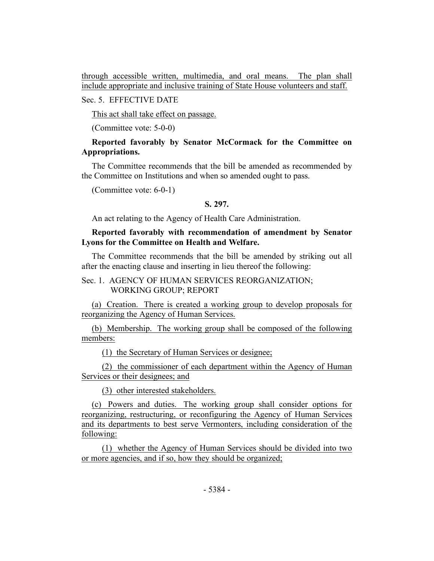through accessible written, multimedia, and oral means. The plan shall include appropriate and inclusive training of State House volunteers and staff.

Sec. 5. EFFECTIVE DATE

This act shall take effect on passage.

(Committee vote: 5-0-0)

## **Reported favorably by Senator McCormack for the Committee on Appropriations.**

The Committee recommends that the bill be amended as recommended by the Committee on Institutions and when so amended ought to pass.

(Committee vote: 6-0-1)

## **S. 297.**

An act relating to the Agency of Health Care Administration.

## **Reported favorably with recommendation of amendment by Senator Lyons for the Committee on Health and Welfare.**

The Committee recommends that the bill be amended by striking out all after the enacting clause and inserting in lieu thereof the following:

## Sec. 1. AGENCY OF HUMAN SERVICES REORGANIZATION; WORKING GROUP; REPORT

(a) Creation. There is created a working group to develop proposals for reorganizing the Agency of Human Services.

(b) Membership. The working group shall be composed of the following members:

(1) the Secretary of Human Services or designee;

(2) the commissioner of each department within the Agency of Human Services or their designees; and

(3) other interested stakeholders.

(c) Powers and duties. The working group shall consider options for reorganizing, restructuring, or reconfiguring the Agency of Human Services and its departments to best serve Vermonters, including consideration of the following:

(1) whether the Agency of Human Services should be divided into two or more agencies, and if so, how they should be organized;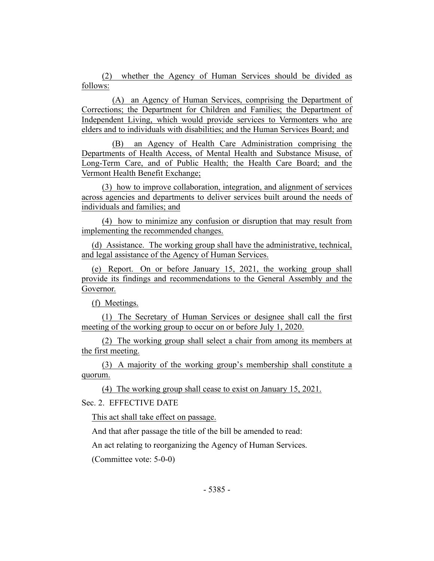(2) whether the Agency of Human Services should be divided as follows:

(A) an Agency of Human Services, comprising the Department of Corrections; the Department for Children and Families; the Department of Independent Living, which would provide services to Vermonters who are elders and to individuals with disabilities; and the Human Services Board; and

(B) an Agency of Health Care Administration comprising the Departments of Health Access, of Mental Health and Substance Misuse, of Long-Term Care, and of Public Health; the Health Care Board; and the Vermont Health Benefit Exchange;

(3) how to improve collaboration, integration, and alignment of services across agencies and departments to deliver services built around the needs of individuals and families; and

(4) how to minimize any confusion or disruption that may result from implementing the recommended changes.

(d) Assistance. The working group shall have the administrative, technical, and legal assistance of the Agency of Human Services.

(e) Report. On or before January 15, 2021, the working group shall provide its findings and recommendations to the General Assembly and the Governor.

(f) Meetings.

(1) The Secretary of Human Services or designee shall call the first meeting of the working group to occur on or before July 1, 2020.

(2) The working group shall select a chair from among its members at the first meeting.

(3) A majority of the working group's membership shall constitute a quorum.

(4) The working group shall cease to exist on January 15, 2021.

Sec. 2. EFFECTIVE DATE

This act shall take effect on passage.

And that after passage the title of the bill be amended to read:

An act relating to reorganizing the Agency of Human Services.

(Committee vote: 5-0-0)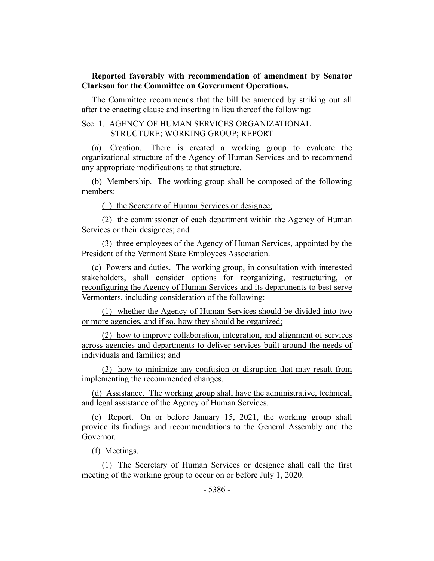## **Reported favorably with recommendation of amendment by Senator Clarkson for the Committee on Government Operations.**

The Committee recommends that the bill be amended by striking out all after the enacting clause and inserting in lieu thereof the following:

## Sec. 1. AGENCY OF HUMAN SERVICES ORGANIZATIONAL STRUCTURE; WORKING GROUP; REPORT

(a) Creation. There is created a working group to evaluate the organizational structure of the Agency of Human Services and to recommend any appropriate modifications to that structure.

(b) Membership. The working group shall be composed of the following members:

(1) the Secretary of Human Services or designee;

(2) the commissioner of each department within the Agency of Human Services or their designees; and

(3) three employees of the Agency of Human Services, appointed by the President of the Vermont State Employees Association.

(c) Powers and duties. The working group, in consultation with interested stakeholders, shall consider options for reorganizing, restructuring, or reconfiguring the Agency of Human Services and its departments to best serve Vermonters, including consideration of the following:

(1) whether the Agency of Human Services should be divided into two or more agencies, and if so, how they should be organized;

(2) how to improve collaboration, integration, and alignment of services across agencies and departments to deliver services built around the needs of individuals and families; and

(3) how to minimize any confusion or disruption that may result from implementing the recommended changes.

(d) Assistance. The working group shall have the administrative, technical, and legal assistance of the Agency of Human Services.

(e) Report. On or before January 15, 2021, the working group shall provide its findings and recommendations to the General Assembly and the Governor.

(f) Meetings.

(1) The Secretary of Human Services or designee shall call the first meeting of the working group to occur on or before July 1, 2020.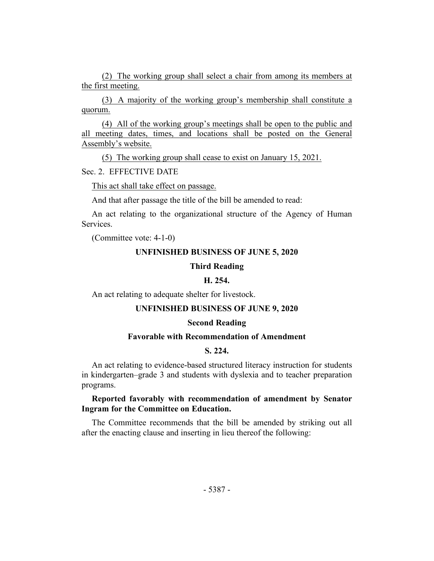(2) The working group shall select a chair from among its members at the first meeting.

(3) A majority of the working group's membership shall constitute a quorum.

(4) All of the working group's meetings shall be open to the public and all meeting dates, times, and locations shall be posted on the General Assembly's website.

(5) The working group shall cease to exist on January 15, 2021.

Sec. 2. EFFECTIVE DATE

This act shall take effect on passage.

And that after passage the title of the bill be amended to read:

An act relating to the organizational structure of the Agency of Human Services.

(Committee vote: 4-1-0)

#### **UNFINISHED BUSINESS OF JUNE 5, 2020**

#### **Third Reading**

## **H. 254.**

An act relating to adequate shelter for livestock.

#### **UNFINISHED BUSINESS OF JUNE 9, 2020**

#### **Second Reading**

#### **Favorable with Recommendation of Amendment**

## **S. 224.**

An act relating to evidence-based structured literacy instruction for students in kindergarten–grade 3 and students with dyslexia and to teacher preparation programs.

## **Reported favorably with recommendation of amendment by Senator Ingram for the Committee on Education.**

The Committee recommends that the bill be amended by striking out all after the enacting clause and inserting in lieu thereof the following: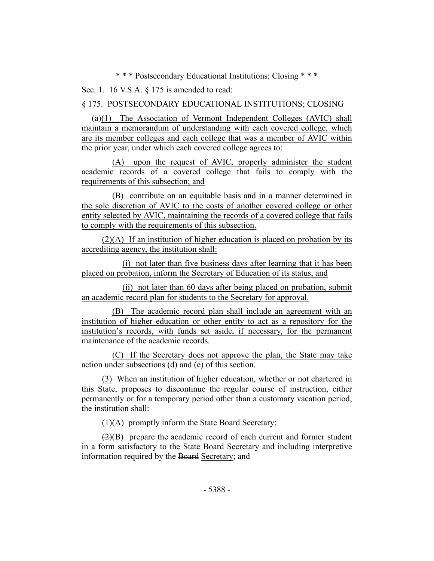\* \* \* Postsecondary Educational Institutions; Closing \* \* \*

Sec. 1. 16 V.S.A. § 175 is amended to read:

§ 175. POSTSECONDARY EDUCATIONAL INSTITUTIONS; CLOSING

(a)(1) The Association of Vermont Independent Colleges (AVIC) shall maintain a memorandum of understanding with each covered college, which are its member colleges and each college that was a member of AVIC within the prior year, under which each covered college agrees to:

(A) upon the request of AVIC, properly administer the student academic records of a covered college that fails to comply with the requirements of this subsection; and

(B) contribute on an equitable basis and in a manner determined in the sole discretion of AVIC to the costs of another covered college or other entity selected by AVIC, maintaining the records of a covered college that fails to comply with the requirements of this subsection.

(2)(A) If an institution of higher education is placed on probation by its accrediting agency, the institution shall:

(i) not later than five business days after learning that it has been placed on probation, inform the Secretary of Education of its status, and

(ii) not later than 60 days after being placed on probation, submit an academic record plan for students to the Secretary for approval.

(B) The academic record plan shall include an agreement with an institution of higher education or other entity to act as a repository for the institution's records, with funds set aside, if necessary, for the permanent maintenance of the academic records.

(C) If the Secretary does not approve the plan, the State may take action under subsections (d) and (e) of this section.

(3) When an institution of higher education, whether or not chartered in this State, proposes to discontinue the regular course of instruction, either permanently or for a temporary period other than a customary vacation period, the institution shall:

(1)(A) promptly inform the State Board Secretary;

 $(2)(B)$  prepare the academic record of each current and former student in a form satisfactory to the State Board Secretary and including interpretive information required by the Board Secretary; and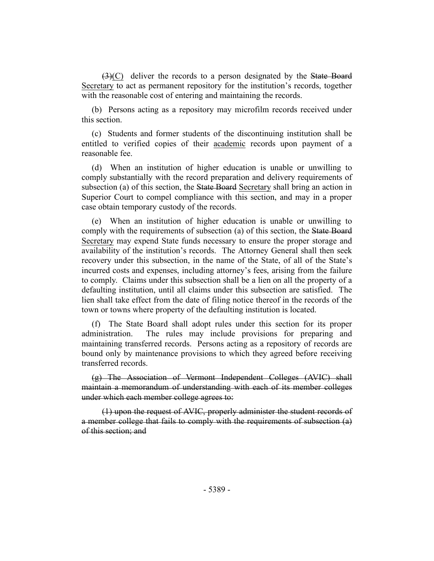(3)(C) deliver the records to a person designated by the State Board Secretary to act as permanent repository for the institution's records, together with the reasonable cost of entering and maintaining the records.

(b) Persons acting as a repository may microfilm records received under this section.

(c) Students and former students of the discontinuing institution shall be entitled to verified copies of their academic records upon payment of a reasonable fee.

(d) When an institution of higher education is unable or unwilling to comply substantially with the record preparation and delivery requirements of subsection (a) of this section, the State Board Secretary shall bring an action in Superior Court to compel compliance with this section, and may in a proper case obtain temporary custody of the records.

(e) When an institution of higher education is unable or unwilling to comply with the requirements of subsection (a) of this section, the State Board Secretary may expend State funds necessary to ensure the proper storage and availability of the institution's records. The Attorney General shall then seek recovery under this subsection, in the name of the State, of all of the State's incurred costs and expenses, including attorney's fees, arising from the failure to comply. Claims under this subsection shall be a lien on all the property of a defaulting institution, until all claims under this subsection are satisfied. The lien shall take effect from the date of filing notice thereof in the records of the town or towns where property of the defaulting institution is located.

(f) The State Board shall adopt rules under this section for its proper administration. The rules may include provisions for preparing and maintaining transferred records. Persons acting as a repository of records are bound only by maintenance provisions to which they agreed before receiving transferred records.

(g) The Association of Vermont Independent Colleges (AVIC) shall maintain a memorandum of understanding with each of its member colleges under which each member college agrees to:

(1) upon the request of AVIC, properly administer the student records of a member college that fails to comply with the requirements of subsection (a) of this section; and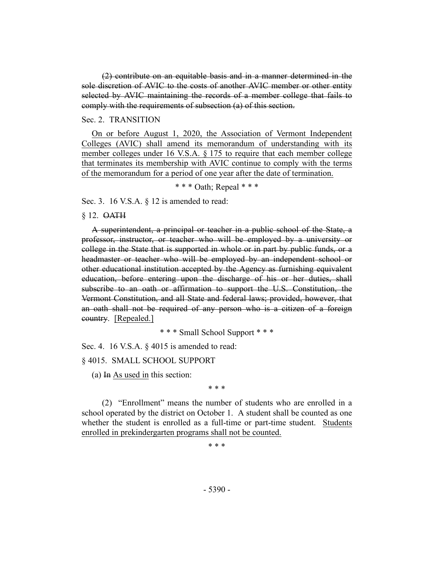(2) contribute on an equitable basis and in a manner determined in the sole discretion of AVIC to the costs of another AVIC member or other entity selected by AVIC maintaining the records of a member college that fails to comply with the requirements of subsection (a) of this section.

#### Sec. 2. TRANSITION

On or before August 1, 2020, the Association of Vermont Independent Colleges (AVIC) shall amend its memorandum of understanding with its member colleges under 16 V.S.A. § 175 to require that each member college that terminates its membership with AVIC continue to comply with the terms of the memorandum for a period of one year after the date of termination.

\* \* \* Oath; Repeal \* \* \*

Sec. 3. 16 V.S.A. § 12 is amended to read:

#### § 12. OATH

A superintendent, a principal or teacher in a public school of the State, a professor, instructor, or teacher who will be employed by a university or college in the State that is supported in whole or in part by public funds, or a headmaster or teacher who will be employed by an independent school or other educational institution accepted by the Agency as furnishing equivalent education, before entering upon the discharge of his or her duties, shall subscribe to an oath or affirmation to support the U.S. Constitution, the Vermont Constitution, and all State and federal laws; provided, however, that an oath shall not be required of any person who is a citizen of a foreign country. [Repealed.]

\* \* \* Small School Support \* \* \*

Sec. 4. 16 V.S.A. § 4015 is amended to read:

§ 4015. SMALL SCHOOL SUPPORT

(a) In As used in this section:

\* \* \*

(2) "Enrollment" means the number of students who are enrolled in a school operated by the district on October 1. A student shall be counted as one whether the student is enrolled as a full-time or part-time student. Students enrolled in prekindergarten programs shall not be counted.

\* \* \*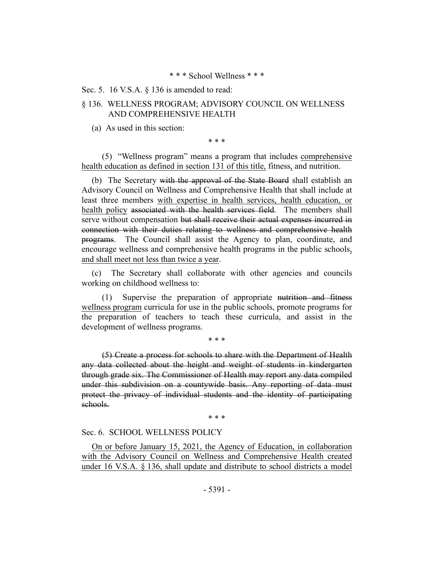#### \* \* \* School Wellness \* \* \*

#### Sec. 5. 16 V.S.A. § 136 is amended to read:

## § 136. WELLNESS PROGRAM; ADVISORY COUNCIL ON WELLNESS AND COMPREHENSIVE HEALTH

(a) As used in this section:

\* \* \*

(5) "Wellness program" means a program that includes comprehensive health education as defined in section 131 of this title, fitness, and nutrition.

(b) The Secretary with the approval of the State Board shall establish an Advisory Council on Wellness and Comprehensive Health that shall include at least three members with expertise in health services, health education, or health policy associated with the health services field. The members shall serve without compensation but shall receive their actual expenses incurred in connection with their duties relating to wellness and comprehensive health programs. The Council shall assist the Agency to plan, coordinate, and encourage wellness and comprehensive health programs in the public schools, and shall meet not less than twice a year.

(c) The Secretary shall collaborate with other agencies and councils working on childhood wellness to:

(1) Supervise the preparation of appropriate nutrition and fitness wellness program curricula for use in the public schools, promote programs for the preparation of teachers to teach these curricula, and assist in the development of wellness programs.

\* \* \*

(5) Create a process for schools to share with the Department of Health any data collected about the height and weight of students in kindergarten through grade six. The Commissioner of Health may report any data compiled under this subdivision on a countywide basis. Any reporting of data must protect the privacy of individual students and the identity of participating schools.

\* \* \*

#### Sec. 6. SCHOOL WELLNESS POLICY

On or before January 15, 2021, the Agency of Education, in collaboration with the Advisory Council on Wellness and Comprehensive Health created under 16 V.S.A. § 136, shall update and distribute to school districts a model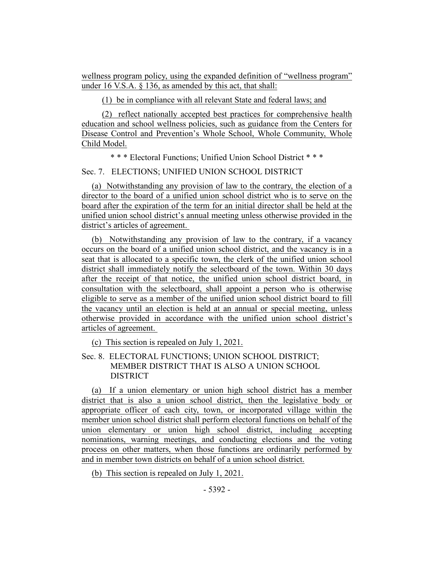wellness program policy, using the expanded definition of "wellness program" under 16 V.S.A. § 136, as amended by this act, that shall:

(1) be in compliance with all relevant State and federal laws; and

(2) reflect nationally accepted best practices for comprehensive health education and school wellness policies, such as guidance from the Centers for Disease Control and Prevention's Whole School, Whole Community, Whole Child Model.

\* \* \* Electoral Functions; Unified Union School District \* \* \*

Sec. 7. ELECTIONS; UNIFIED UNION SCHOOL DISTRICT

(a) Notwithstanding any provision of law to the contrary, the election of a director to the board of a unified union school district who is to serve on the board after the expiration of the term for an initial director shall be held at the unified union school district's annual meeting unless otherwise provided in the district's articles of agreement.

(b) Notwithstanding any provision of law to the contrary, if a vacancy occurs on the board of a unified union school district, and the vacancy is in a seat that is allocated to a specific town, the clerk of the unified union school district shall immediately notify the selectboard of the town. Within 30 days after the receipt of that notice, the unified union school district board, in consultation with the selectboard, shall appoint a person who is otherwise eligible to serve as a member of the unified union school district board to fill the vacancy until an election is held at an annual or special meeting, unless otherwise provided in accordance with the unified union school district's articles of agreement.

(c) This section is repealed on July 1, 2021.

Sec. 8. ELECTORAL FUNCTIONS; UNION SCHOOL DISTRICT; MEMBER DISTRICT THAT IS ALSO A UNION SCHOOL DISTRICT

(a) If a union elementary or union high school district has a member district that is also a union school district, then the legislative body or appropriate officer of each city, town, or incorporated village within the member union school district shall perform electoral functions on behalf of the union elementary or union high school district, including accepting nominations, warning meetings, and conducting elections and the voting process on other matters, when those functions are ordinarily performed by and in member town districts on behalf of a union school district.

(b) This section is repealed on July 1, 2021.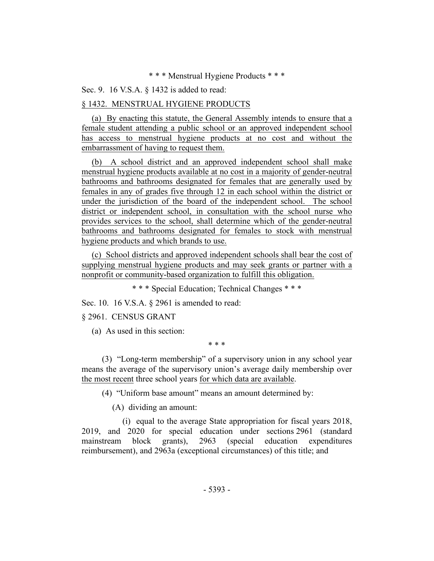#### \* \* \* Menstrual Hygiene Products \* \* \*

#### Sec. 9. 16 V.S.A. § 1432 is added to read:

#### § 1432. MENSTRUAL HYGIENE PRODUCTS

(a) By enacting this statute, the General Assembly intends to ensure that a female student attending a public school or an approved independent school has access to menstrual hygiene products at no cost and without the embarrassment of having to request them.

(b) A school district and an approved independent school shall make menstrual hygiene products available at no cost in a majority of gender-neutral bathrooms and bathrooms designated for females that are generally used by females in any of grades five through 12 in each school within the district or under the jurisdiction of the board of the independent school. The school district or independent school, in consultation with the school nurse who provides services to the school, shall determine which of the gender-neutral bathrooms and bathrooms designated for females to stock with menstrual hygiene products and which brands to use.

(c) School districts and approved independent schools shall bear the cost of supplying menstrual hygiene products and may seek grants or partner with a nonprofit or community-based organization to fulfill this obligation.

\* \* \* Special Education; Technical Changes \* \* \*

Sec. 10. 16 V.S.A. § 2961 is amended to read:

#### § 2961. CENSUS GRANT

(a) As used in this section:

\* \* \*

(3) "Long-term membership" of a supervisory union in any school year means the average of the supervisory union's average daily membership over the most recent three school years for which data are available.

(4) "Uniform base amount" means an amount determined by:

(A) dividing an amount:

(i) equal to the average State appropriation for fiscal years 2018, 2019, and 2020 for special education under sections 2961 (standard mainstream block grants), 2963 (special education expenditures reimbursement), and 2963a (exceptional circumstances) of this title; and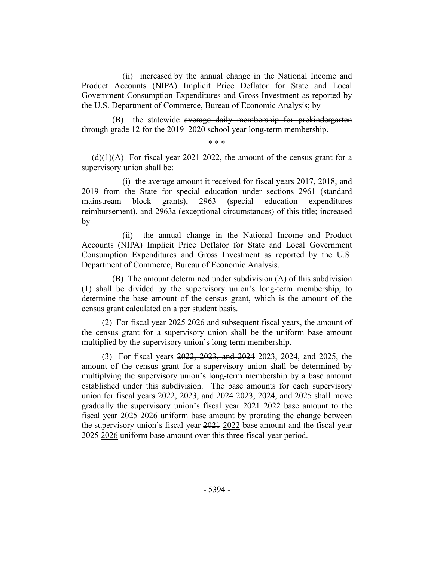(ii) increased by the annual change in the National Income and Product Accounts (NIPA) Implicit Price Deflator for State and Local Government Consumption Expenditures and Gross Investment as reported by the U.S. Department of Commerce, Bureau of Economic Analysis; by

(B) the statewide average daily membership for prekindergarten through grade 12 for the 2019–2020 school year long-term membership.

\* \* \*

 $(d)(1)(A)$  For fiscal year 2021 2022, the amount of the census grant for a supervisory union shall be:

(i) the average amount it received for fiscal years 2017, 2018, and 2019 from the State for special education under sections 2961 (standard mainstream block grants), 2963 (special education expenditures reimbursement), and 2963a (exceptional circumstances) of this title; increased by

(ii) the annual change in the National Income and Product Accounts (NIPA) Implicit Price Deflator for State and Local Government Consumption Expenditures and Gross Investment as reported by the U.S. Department of Commerce, Bureau of Economic Analysis.

(B) The amount determined under subdivision (A) of this subdivision (1) shall be divided by the supervisory union's long-term membership, to determine the base amount of the census grant, which is the amount of the census grant calculated on a per student basis.

(2) For fiscal year 2025 2026 and subsequent fiscal years, the amount of the census grant for a supervisory union shall be the uniform base amount multiplied by the supervisory union's long-term membership.

(3) For fiscal years 2022, 2023, and 2024 2023, 2024, and 2025, the amount of the census grant for a supervisory union shall be determined by multiplying the supervisory union's long-term membership by a base amount established under this subdivision. The base amounts for each supervisory union for fiscal years 2022, 2023, and 2024 2023, 2024, and 2025 shall move gradually the supervisory union's fiscal year 2021 2022 base amount to the fiscal year 2025 2026 uniform base amount by prorating the change between the supervisory union's fiscal year 2021 2022 base amount and the fiscal year 2025 2026 uniform base amount over this three-fiscal-year period.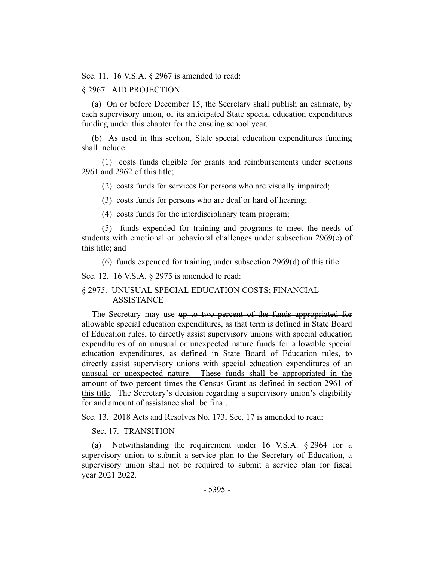Sec. 11. 16 V.S.A. § 2967 is amended to read:

#### § 2967. AID PROJECTION

(a) On or before December 15, the Secretary shall publish an estimate, by each supervisory union, of its anticipated State special education expenditures funding under this chapter for the ensuing school year.

(b) As used in this section, State special education expenditures funding shall include:

(1) costs funds eligible for grants and reimbursements under sections 2961 and 2962 of this title;

(2) costs funds for services for persons who are visually impaired;

(3) costs funds for persons who are deaf or hard of hearing;

(4) costs funds for the interdisciplinary team program;

(5) funds expended for training and programs to meet the needs of students with emotional or behavioral challenges under subsection 2969(c) of this title; and

(6) funds expended for training under subsection 2969(d) of this title.

Sec. 12. 16 V.S.A. § 2975 is amended to read:

#### § 2975. UNUSUAL SPECIAL EDUCATION COSTS; FINANCIAL ASSISTANCE

The Secretary may use up to two percent of the funds appropriated for allowable special education expenditures, as that term is defined in State Board of Education rules, to directly assist supervisory unions with special education expenditures of an unusual or unexpected nature funds for allowable special education expenditures, as defined in State Board of Education rules, to directly assist supervisory unions with special education expenditures of an unusual or unexpected nature. These funds shall be appropriated in the amount of two percent times the Census Grant as defined in section 2961 of this title. The Secretary's decision regarding a supervisory union's eligibility for and amount of assistance shall be final.

Sec. 13. 2018 Acts and Resolves No. 173, Sec. 17 is amended to read:

#### Sec. 17. TRANSITION

(a) Notwithstanding the requirement under 16 V.S.A. § 2964 for a supervisory union to submit a service plan to the Secretary of Education, a supervisory union shall not be required to submit a service plan for fiscal year 2021 2022.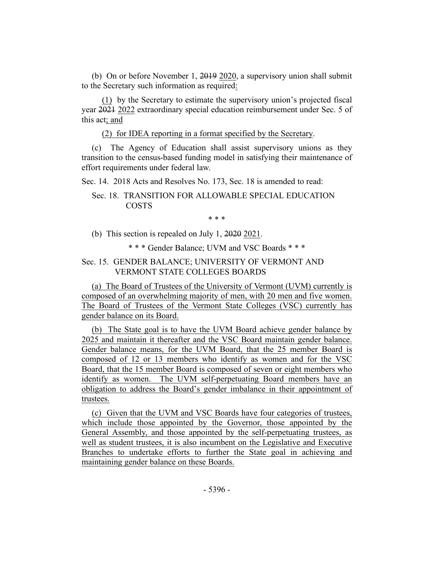(b) On or before November 1, 2019 2020, a supervisory union shall submit to the Secretary such information as required:

(1) by the Secretary to estimate the supervisory union's projected fiscal year 2021 2022 extraordinary special education reimbursement under Sec. 5 of this act; and

(2) for IDEA reporting in a format specified by the Secretary.

(c) The Agency of Education shall assist supervisory unions as they transition to the census-based funding model in satisfying their maintenance of effort requirements under federal law.

Sec. 14. 2018 Acts and Resolves No. 173, Sec. 18 is amended to read:

## Sec. 18. TRANSITION FOR ALLOWABLE SPECIAL EDUCATION COSTS

\* \* \*

(b) This section is repealed on July 1, 2020 2021.

\* \* \* Gender Balance; UVM and VSC Boards \* \* \*

## Sec. 15. GENDER BALANCE; UNIVERSITY OF VERMONT AND VERMONT STATE COLLEGES BOARDS

(a) The Board of Trustees of the University of Vermont (UVM) currently is composed of an overwhelming majority of men, with 20 men and five women. The Board of Trustees of the Vermont State Colleges (VSC) currently has gender balance on its Board.

(b) The State goal is to have the UVM Board achieve gender balance by 2025 and maintain it thereafter and the VSC Board maintain gender balance. Gender balance means, for the UVM Board, that the 25 member Board is composed of 12 or 13 members who identify as women and for the VSC Board, that the 15 member Board is composed of seven or eight members who identify as women. The UVM self-perpetuating Board members have an obligation to address the Board's gender imbalance in their appointment of trustees.

(c) Given that the UVM and VSC Boards have four categories of trustees, which include those appointed by the Governor, those appointed by the General Assembly, and those appointed by the self-perpetuating trustees, as well as student trustees, it is also incumbent on the Legislative and Executive Branches to undertake efforts to further the State goal in achieving and maintaining gender balance on these Boards.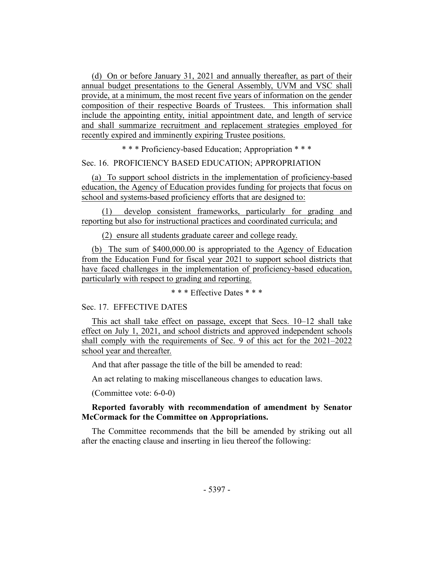(d) On or before January 31, 2021 and annually thereafter, as part of their annual budget presentations to the General Assembly, UVM and VSC shall provide, at a minimum, the most recent five years of information on the gender composition of their respective Boards of Trustees. This information shall include the appointing entity, initial appointment date, and length of service and shall summarize recruitment and replacement strategies employed for recently expired and imminently expiring Trustee positions.

\* \* \* Proficiency-based Education; Appropriation \* \* \*

#### Sec. 16. PROFICIENCY BASED EDUCATION; APPROPRIATION

(a) To support school districts in the implementation of proficiency-based education, the Agency of Education provides funding for projects that focus on school and systems-based proficiency efforts that are designed to:

(1) develop consistent frameworks, particularly for grading and reporting but also for instructional practices and coordinated curricula; and

(2) ensure all students graduate career and college ready.

(b) The sum of \$400,000.00 is appropriated to the Agency of Education from the Education Fund for fiscal year 2021 to support school districts that have faced challenges in the implementation of proficiency-based education, particularly with respect to grading and reporting.

\* \* \* Effective Dates \* \* \*

#### Sec. 17. EFFECTIVE DATES

This act shall take effect on passage, except that Secs. 10–12 shall take effect on July 1, 2021, and school districts and approved independent schools shall comply with the requirements of Sec. 9 of this act for the 2021–2022 school year and thereafter.

And that after passage the title of the bill be amended to read:

An act relating to making miscellaneous changes to education laws.

(Committee vote: 6-0-0)

#### **Reported favorably with recommendation of amendment by Senator McCormack for the Committee on Appropriations.**

The Committee recommends that the bill be amended by striking out all after the enacting clause and inserting in lieu thereof the following: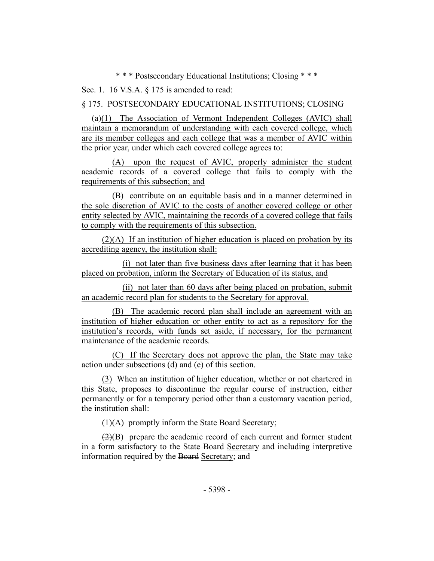\* \* \* Postsecondary Educational Institutions; Closing \* \* \*

Sec. 1. 16 V.S.A. § 175 is amended to read:

§ 175. POSTSECONDARY EDUCATIONAL INSTITUTIONS; CLOSING

(a)(1) The Association of Vermont Independent Colleges (AVIC) shall maintain a memorandum of understanding with each covered college, which are its member colleges and each college that was a member of AVIC within the prior year, under which each covered college agrees to:

(A) upon the request of AVIC, properly administer the student academic records of a covered college that fails to comply with the requirements of this subsection; and

(B) contribute on an equitable basis and in a manner determined in the sole discretion of AVIC to the costs of another covered college or other entity selected by AVIC, maintaining the records of a covered college that fails to comply with the requirements of this subsection.

(2)(A) If an institution of higher education is placed on probation by its accrediting agency, the institution shall:

(i) not later than five business days after learning that it has been placed on probation, inform the Secretary of Education of its status, and

(ii) not later than 60 days after being placed on probation, submit an academic record plan for students to the Secretary for approval.

(B) The academic record plan shall include an agreement with an institution of higher education or other entity to act as a repository for the institution's records, with funds set aside, if necessary, for the permanent maintenance of the academic records.

(C) If the Secretary does not approve the plan, the State may take action under subsections (d) and (e) of this section.

(3) When an institution of higher education, whether or not chartered in this State, proposes to discontinue the regular course of instruction, either permanently or for a temporary period other than a customary vacation period, the institution shall:

(1)(A) promptly inform the State Board Secretary;

 $(2)(B)$  prepare the academic record of each current and former student in a form satisfactory to the State Board Secretary and including interpretive information required by the Board Secretary; and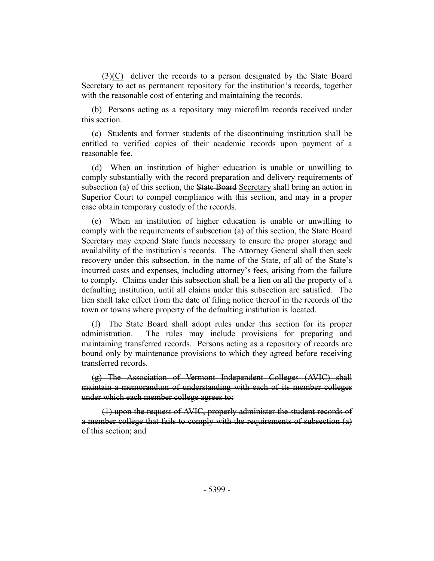(3)(C) deliver the records to a person designated by the State Board Secretary to act as permanent repository for the institution's records, together with the reasonable cost of entering and maintaining the records.

(b) Persons acting as a repository may microfilm records received under this section.

(c) Students and former students of the discontinuing institution shall be entitled to verified copies of their academic records upon payment of a reasonable fee.

(d) When an institution of higher education is unable or unwilling to comply substantially with the record preparation and delivery requirements of subsection (a) of this section, the State Board Secretary shall bring an action in Superior Court to compel compliance with this section, and may in a proper case obtain temporary custody of the records.

(e) When an institution of higher education is unable or unwilling to comply with the requirements of subsection (a) of this section, the State Board Secretary may expend State funds necessary to ensure the proper storage and availability of the institution's records. The Attorney General shall then seek recovery under this subsection, in the name of the State, of all of the State's incurred costs and expenses, including attorney's fees, arising from the failure to comply. Claims under this subsection shall be a lien on all the property of a defaulting institution, until all claims under this subsection are satisfied. The lien shall take effect from the date of filing notice thereof in the records of the town or towns where property of the defaulting institution is located.

(f) The State Board shall adopt rules under this section for its proper administration. The rules may include provisions for preparing and maintaining transferred records. Persons acting as a repository of records are bound only by maintenance provisions to which they agreed before receiving transferred records.

(g) The Association of Vermont Independent Colleges (AVIC) shall maintain a memorandum of understanding with each of its member colleges under which each member college agrees to:

(1) upon the request of AVIC, properly administer the student records of a member college that fails to comply with the requirements of subsection (a) of this section; and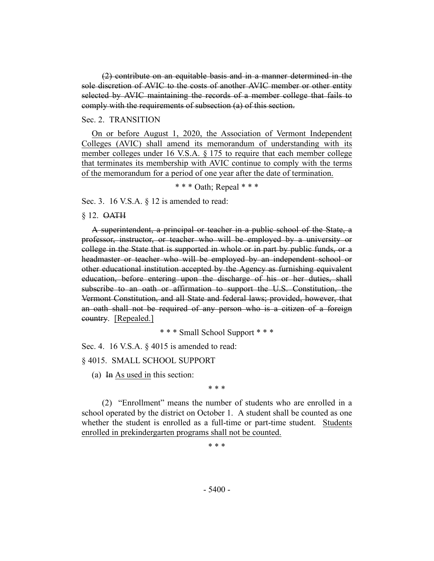(2) contribute on an equitable basis and in a manner determined in the sole discretion of AVIC to the costs of another AVIC member or other entity selected by AVIC maintaining the records of a member college that fails to comply with the requirements of subsection (a) of this section.

#### Sec. 2. TRANSITION

On or before August 1, 2020, the Association of Vermont Independent Colleges (AVIC) shall amend its memorandum of understanding with its member colleges under 16 V.S.A. § 175 to require that each member college that terminates its membership with AVIC continue to comply with the terms of the memorandum for a period of one year after the date of termination.

\* \* \* Oath; Repeal \* \* \*

Sec. 3. 16 V.S.A. § 12 is amended to read:

#### § 12. OATH

A superintendent, a principal or teacher in a public school of the State, a professor, instructor, or teacher who will be employed by a university or college in the State that is supported in whole or in part by public funds, or a headmaster or teacher who will be employed by an independent school or other educational institution accepted by the Agency as furnishing equivalent education, before entering upon the discharge of his or her duties, shall subscribe to an oath or affirmation to support the U.S. Constitution, the Vermont Constitution, and all State and federal laws; provided, however, that an oath shall not be required of any person who is a citizen of a foreign country. [Repealed.]

\* \* \* Small School Support \* \* \*

Sec. 4. 16 V.S.A. § 4015 is amended to read:

§ 4015. SMALL SCHOOL SUPPORT

(a) In As used in this section:

\* \* \*

(2) "Enrollment" means the number of students who are enrolled in a school operated by the district on October 1. A student shall be counted as one whether the student is enrolled as a full-time or part-time student. Students enrolled in prekindergarten programs shall not be counted.

\* \* \*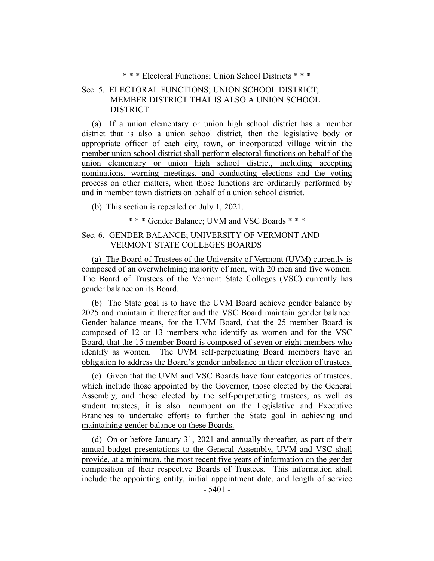\* \* \* Electoral Functions; Union School Districts \* \* \*

## Sec. 5. ELECTORAL FUNCTIONS; UNION SCHOOL DISTRICT; MEMBER DISTRICT THAT IS ALSO A UNION SCHOOL DISTRICT

(a) If a union elementary or union high school district has a member district that is also a union school district, then the legislative body or appropriate officer of each city, town, or incorporated village within the member union school district shall perform electoral functions on behalf of the union elementary or union high school district, including accepting nominations, warning meetings, and conducting elections and the voting process on other matters, when those functions are ordinarily performed by and in member town districts on behalf of a union school district.

(b) This section is repealed on July 1, 2021.

\* \* \* Gender Balance; UVM and VSC Boards \* \* \*

## Sec. 6. GENDER BALANCE; UNIVERSITY OF VERMONT AND VERMONT STATE COLLEGES BOARDS

(a) The Board of Trustees of the University of Vermont (UVM) currently is composed of an overwhelming majority of men, with 20 men and five women. The Board of Trustees of the Vermont State Colleges (VSC) currently has gender balance on its Board.

(b) The State goal is to have the UVM Board achieve gender balance by 2025 and maintain it thereafter and the VSC Board maintain gender balance. Gender balance means, for the UVM Board, that the 25 member Board is composed of 12 or 13 members who identify as women and for the VSC Board, that the 15 member Board is composed of seven or eight members who identify as women. The UVM self-perpetuating Board members have an obligation to address the Board's gender imbalance in their election of trustees.

(c) Given that the UVM and VSC Boards have four categories of trustees, which include those appointed by the Governor, those elected by the General Assembly, and those elected by the self-perpetuating trustees, as well as student trustees, it is also incumbent on the Legislative and Executive Branches to undertake efforts to further the State goal in achieving and maintaining gender balance on these Boards.

(d) On or before January 31, 2021 and annually thereafter, as part of their annual budget presentations to the General Assembly, UVM and VSC shall provide, at a minimum, the most recent five years of information on the gender composition of their respective Boards of Trustees. This information shall include the appointing entity, initial appointment date, and length of service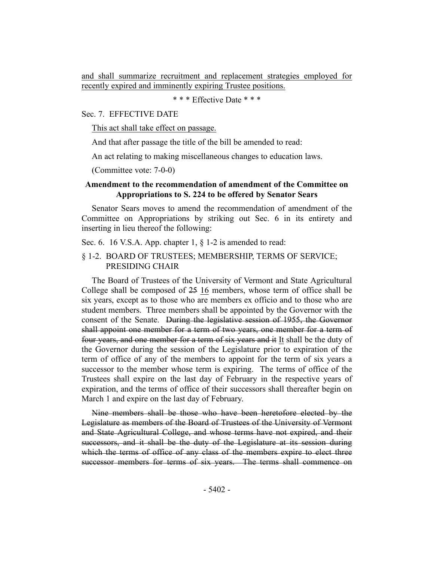and shall summarize recruitment and replacement strategies employed for recently expired and imminently expiring Trustee positions.

\* \* \* Effective Date \* \* \*

#### Sec. 7. EFFECTIVE DATE

This act shall take effect on passage.

And that after passage the title of the bill be amended to read:

An act relating to making miscellaneous changes to education laws.

(Committee vote: 7-0-0)

## **Amendment to the recommendation of amendment of the Committee on Appropriations to S. 224 to be offered by Senator Sears**

Senator Sears moves to amend the recommendation of amendment of the Committee on Appropriations by striking out Sec. 6 in its entirety and inserting in lieu thereof the following:

Sec. 6. 16 V.S.A. App. chapter 1,  $\delta$  1-2 is amended to read:

## § 1-2. BOARD OF TRUSTEES; MEMBERSHIP, TERMS OF SERVICE; PRESIDING CHAIR

The Board of Trustees of the University of Vermont and State Agricultural College shall be composed of  $25 \underline{16}$  members, whose term of office shall be six years, except as to those who are members ex officio and to those who are student members. Three members shall be appointed by the Governor with the consent of the Senate. During the legislative session of 1955, the Governor shall appoint one member for a term of two years, one member for a term of four years, and one member for a term of six years and it It shall be the duty of the Governor during the session of the Legislature prior to expiration of the term of office of any of the members to appoint for the term of six years a successor to the member whose term is expiring. The terms of office of the Trustees shall expire on the last day of February in the respective years of expiration, and the terms of office of their successors shall thereafter begin on March 1 and expire on the last day of February.

Nine members shall be those who have been heretofore elected by the Legislature as members of the Board of Trustees of the University of Vermont and State Agricultural College, and whose terms have not expired, and their successors, and it shall be the duty of the Legislature at its session during which the terms of office of any class of the members expire to elect three successor members for terms of six years. The terms shall commence on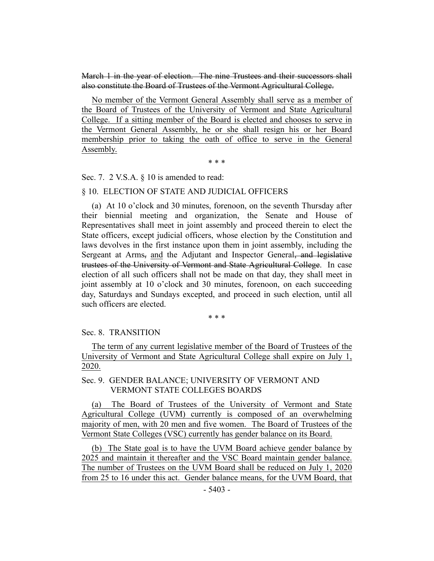March 1 in the year of election. The nine Trustees and their successors shall also constitute the Board of Trustees of the Vermont Agricultural College.

No member of the Vermont General Assembly shall serve as a member of the Board of Trustees of the University of Vermont and State Agricultural College. If a sitting member of the Board is elected and chooses to serve in the Vermont General Assembly, he or she shall resign his or her Board membership prior to taking the oath of office to serve in the General Assembly.

\* \* \*

Sec. 7. 2 V.S.A. § 10 is amended to read:

#### § 10. ELECTION OF STATE AND JUDICIAL OFFICERS

(a) At 10 o'clock and 30 minutes, forenoon, on the seventh Thursday after their biennial meeting and organization, the Senate and House of Representatives shall meet in joint assembly and proceed therein to elect the State officers, except judicial officers, whose election by the Constitution and laws devolves in the first instance upon them in joint assembly, including the Sergeant at Arms, and the Adjutant and Inspector General, and legislative trustees of the University of Vermont and State Agricultural College. In case election of all such officers shall not be made on that day, they shall meet in joint assembly at 10 o'clock and 30 minutes, forenoon, on each succeeding day, Saturdays and Sundays excepted, and proceed in such election, until all such officers are elected.

\* \* \*

### Sec. 8. TRANSITION

The term of any current legislative member of the Board of Trustees of the University of Vermont and State Agricultural College shall expire on July 1, 2020.

## Sec. 9. GENDER BALANCE; UNIVERSITY OF VERMONT AND VERMONT STATE COLLEGES BOARDS

(a) The Board of Trustees of the University of Vermont and State Agricultural College (UVM) currently is composed of an overwhelming majority of men, with 20 men and five women. The Board of Trustees of the Vermont State Colleges (VSC) currently has gender balance on its Board.

(b) The State goal is to have the UVM Board achieve gender balance by 2025 and maintain it thereafter and the VSC Board maintain gender balance. The number of Trustees on the UVM Board shall be reduced on July 1, 2020 from 25 to 16 under this act. Gender balance means, for the UVM Board, that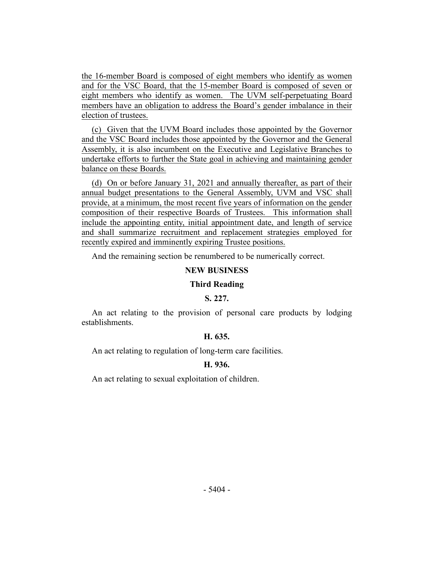the 16-member Board is composed of eight members who identify as women and for the VSC Board, that the 15-member Board is composed of seven or eight members who identify as women. The UVM self-perpetuating Board members have an obligation to address the Board's gender imbalance in their election of trustees.

(c) Given that the UVM Board includes those appointed by the Governor and the VSC Board includes those appointed by the Governor and the General Assembly, it is also incumbent on the Executive and Legislative Branches to undertake efforts to further the State goal in achieving and maintaining gender balance on these Boards.

(d) On or before January 31, 2021 and annually thereafter, as part of their annual budget presentations to the General Assembly, UVM and VSC shall provide, at a minimum, the most recent five years of information on the gender composition of their respective Boards of Trustees. This information shall include the appointing entity, initial appointment date, and length of service and shall summarize recruitment and replacement strategies employed for recently expired and imminently expiring Trustee positions.

And the remaining section be renumbered to be numerically correct.

## **NEW BUSINESS**

#### **Third Reading**

#### **S. 227.**

An act relating to the provision of personal care products by lodging establishments.

## **H. 635.**

An act relating to regulation of long-term care facilities.

#### **H. 936.**

An act relating to sexual exploitation of children.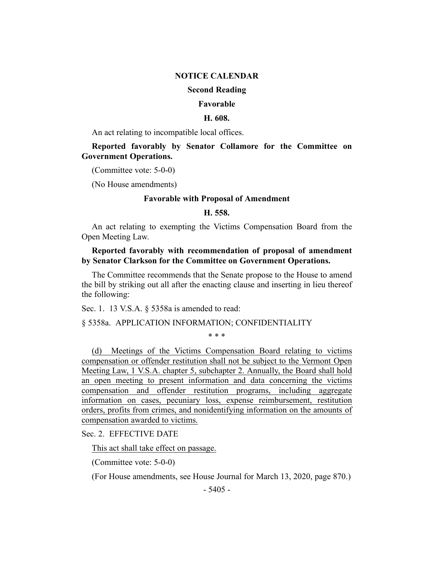### **NOTICE CALENDAR**

## **Second Reading**

#### **Favorable**

#### **H. 608.**

An act relating to incompatible local offices.

**Reported favorably by Senator Collamore for the Committee on Government Operations.**

(Committee vote: 5-0-0)

(No House amendments)

## **Favorable with Proposal of Amendment**

#### **H. 558.**

An act relating to exempting the Victims Compensation Board from the Open Meeting Law.

## **Reported favorably with recommendation of proposal of amendment by Senator Clarkson for the Committee on Government Operations.**

The Committee recommends that the Senate propose to the House to amend the bill by striking out all after the enacting clause and inserting in lieu thereof the following:

Sec. 1. 13 V.S.A. § 5358a is amended to read:

#### § 5358a. APPLICATION INFORMATION; CONFIDENTIALITY

\* \* \*

(d) Meetings of the Victims Compensation Board relating to victims compensation or offender restitution shall not be subject to the Vermont Open Meeting Law, 1 V.S.A. chapter 5, subchapter 2. Annually, the Board shall hold an open meeting to present information and data concerning the victims compensation and offender restitution programs, including aggregate information on cases, pecuniary loss, expense reimbursement, restitution orders, profits from crimes, and nonidentifying information on the amounts of compensation awarded to victims.

Sec. 2. EFFECTIVE DATE

This act shall take effect on passage.

(Committee vote: 5-0-0)

(For House amendments, see House Journal for March 13, 2020, page 870.)